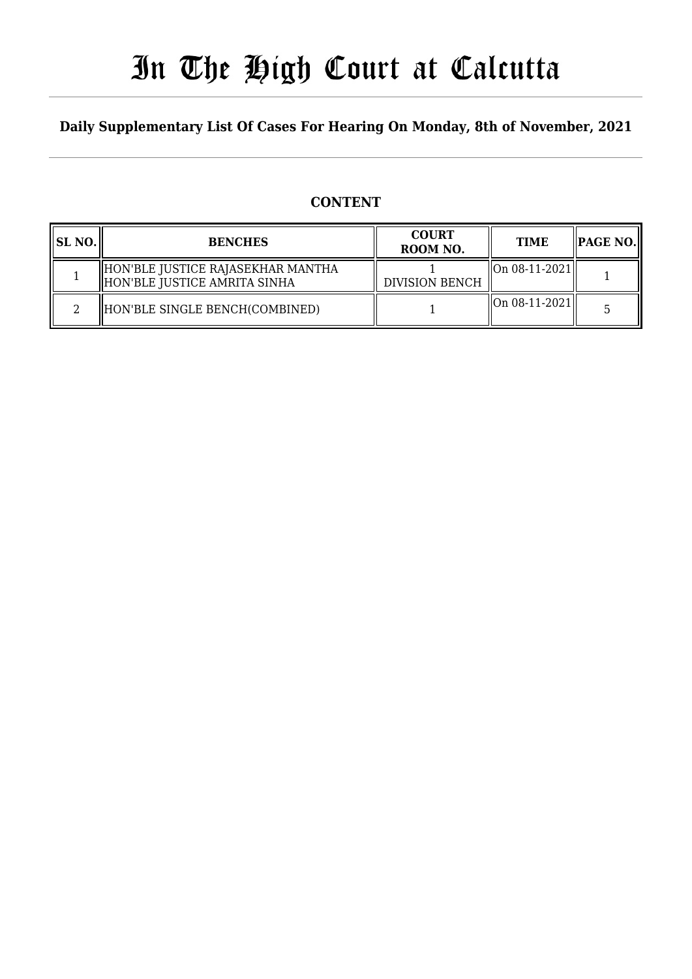# In The High Court at Calcutta

## **Daily Supplementary List Of Cases For Hearing On Monday, 8th of November, 2021**

## **CONTENT**

| SL NO. | <b>BENCHES</b>                                                    | <b>COURT</b><br>ROOM NO. | <b>TIME</b>                                         | $\parallel$ PAGE NO. $\parallel$ |
|--------|-------------------------------------------------------------------|--------------------------|-----------------------------------------------------|----------------------------------|
|        | HON'BLE JUSTICE RAJASEKHAR MANTHA<br>HON'BLE JUSTICE AMRITA SINHA | <b>DIVISION BENCH</b>    | $\left\  \right\ $ On 08-11-2021 $\left\  \right\ $ |                                  |
|        | HON'BLE SINGLE BENCH(COMBINED)                                    |                          | $\left\  \right\ $ On 08-11-2021 $\left\  \right\ $ |                                  |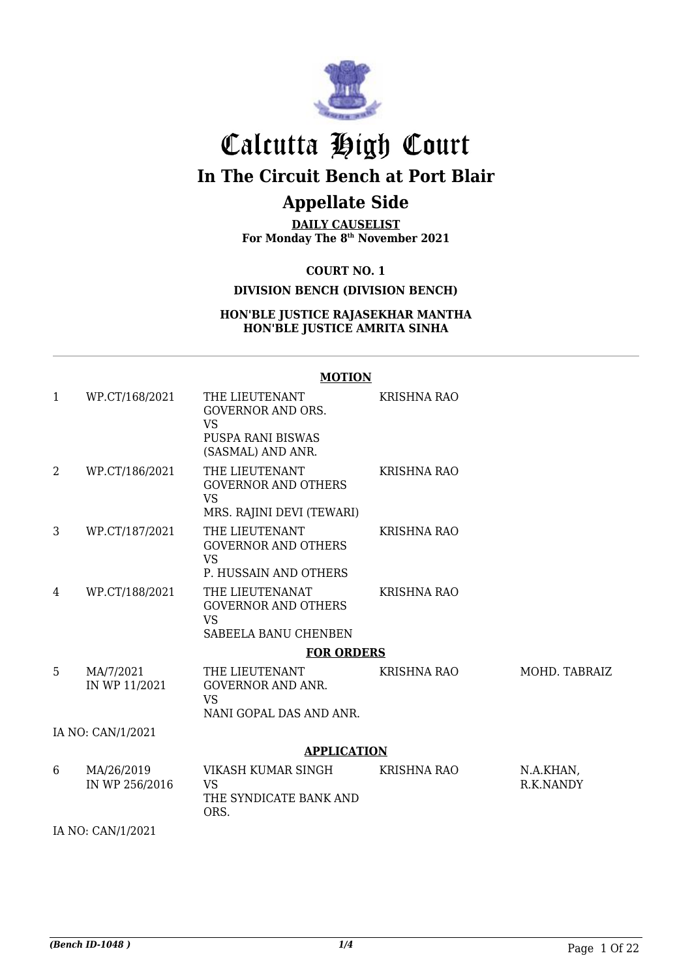

## Calcutta High Court **In The Circuit Bench at Port Blair**

## **Appellate Side**

**DAILY CAUSELIST For Monday The 8th November 2021**

**COURT NO. 1**

**DIVISION BENCH (DIVISION BENCH)**

#### **HON'BLE JUSTICE RAJASEKHAR MANTHA HON'BLE JUSTICE AMRITA SINHA**

#### **MOTION** 1 WP.CT/168/2021 THE LIEUTENANT GOVERNOR AND ORS. VS PUSPA RANI BISWAS (SASMAL) AND ANR. KRISHNA RAO 2 WP.CT/186/2021 THE LIEUTENANT GOVERNOR AND OTHERS VS MRS. RAJINI DEVI (TEWARI) KRISHNA RAO 3 WP.CT/187/2021 THE LIEUTENANT GOVERNOR AND OTHERS VS P. HUSSAIN AND OTHERS KRISHNA RAO 4 WP.CT/188/2021 THE LIEUTENANAT GOVERNOR AND OTHERS VS SABEELA BANU CHENBEN KRISHNA RAO **FOR ORDERS** 5 MA/7/2021 IN WP 11/2021 THE LIEUTENANT GOVERNOR AND ANR. VS NANI GOPAL DAS AND ANR. KRISHNA RAO MOHD. TABRAIZ IA NO: CAN/1/2021 **APPLICATION** 6 MA/26/2019 IN WP 256/2016 VIKASH KUMAR SINGH VS THE SYNDICATE BANK AND ORS. KRISHNA RAO N.A.KHAN. R.K.NANDY

IA NO: CAN/1/2021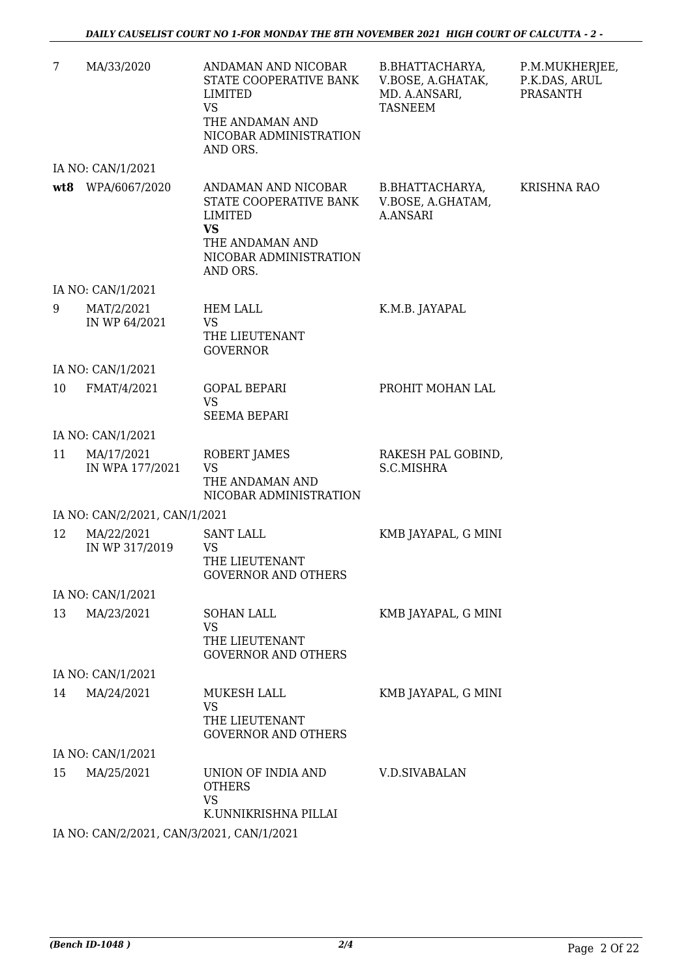| 7   | MA/33/2020                          | ANDAMAN AND NICOBAR<br>STATE COOPERATIVE BANK<br><b>LIMITED</b><br>VS.<br>THE ANDAMAN AND<br>NICOBAR ADMINISTRATION<br>AND ORS. | B.BHATTACHARYA,<br>V.BOSE, A.GHATAK,<br>MD. A.ANSARI,<br><b>TASNEEM</b> | P.M.MUKHERJEE,<br>P.K.DAS, ARUL<br><b>PRASANTH</b> |
|-----|-------------------------------------|---------------------------------------------------------------------------------------------------------------------------------|-------------------------------------------------------------------------|----------------------------------------------------|
|     | IA NO: CAN/1/2021                   |                                                                                                                                 |                                                                         |                                                    |
| wt8 | WPA/6067/2020                       | ANDAMAN AND NICOBAR<br>STATE COOPERATIVE BANK<br>LIMITED<br><b>VS</b><br>THE ANDAMAN AND<br>NICOBAR ADMINISTRATION<br>AND ORS.  | B.BHATTACHARYA,<br>V.BOSE, A.GHATAM,<br><b>A.ANSARI</b>                 | <b>KRISHNA RAO</b>                                 |
|     | IA NO: CAN/1/2021                   |                                                                                                                                 |                                                                         |                                                    |
| 9   | MAT/2/2021<br>IN WP 64/2021         | <b>HEM LALL</b><br><b>VS</b><br>THE LIEUTENANT<br><b>GOVERNOR</b>                                                               | K.M.B. JAYAPAL                                                          |                                                    |
|     | IA NO: CAN/1/2021                   |                                                                                                                                 |                                                                         |                                                    |
| 10  | FMAT/4/2021                         | <b>GOPAL BEPARI</b><br><b>VS</b><br><b>SEEMA BEPARI</b>                                                                         | PROHIT MOHAN LAL                                                        |                                                    |
|     | IA NO: CAN/1/2021                   |                                                                                                                                 |                                                                         |                                                    |
| 11  | MA/17/2021<br>IN WPA 177/2021       | ROBERT JAMES<br><b>VS</b><br>THE ANDAMAN AND<br>NICOBAR ADMINISTRATION                                                          | RAKESH PAL GOBIND,<br>S.C.MISHRA                                        |                                                    |
|     | IA NO: CAN/2/2021, CAN/1/2021       |                                                                                                                                 |                                                                         |                                                    |
| 12  | MA/22/2021<br>IN WP 317/2019        | <b>SANT LALL</b><br><b>VS</b><br>THE LIEUTENANT<br><b>GOVERNOR AND OTHERS</b>                                                   | KMB JAYAPAL, G MINI                                                     |                                                    |
|     | IA NO: CAN/1/2021                   |                                                                                                                                 |                                                                         |                                                    |
| 13  | MA/23/2021                          | SOHAN LALL<br><b>VS</b><br>THE LIEUTENANT<br><b>GOVERNOR AND OTHERS</b>                                                         | KMB JAYAPAL, G MINI                                                     |                                                    |
|     | IA NO: CAN/1/2021                   |                                                                                                                                 |                                                                         |                                                    |
| 14  | MA/24/2021                          | MUKESH LALL<br><b>VS</b><br>THE LIEUTENANT<br><b>GOVERNOR AND OTHERS</b>                                                        | KMB JAYAPAL, G MINI                                                     |                                                    |
|     | IA NO: CAN/1/2021                   |                                                                                                                                 |                                                                         |                                                    |
| 15  | MA/25/2021                          | UNION OF INDIA AND<br><b>OTHERS</b><br><b>VS</b><br>K.UNNIKRISHNA PILLAI                                                        | <b>V.D.SIVABALAN</b>                                                    |                                                    |
|     | IA NO CANIGROSS CANTRONAS CANTISTOS |                                                                                                                                 |                                                                         |                                                    |

IA NO: CAN/2/2021, CAN/3/2021, CAN/1/2021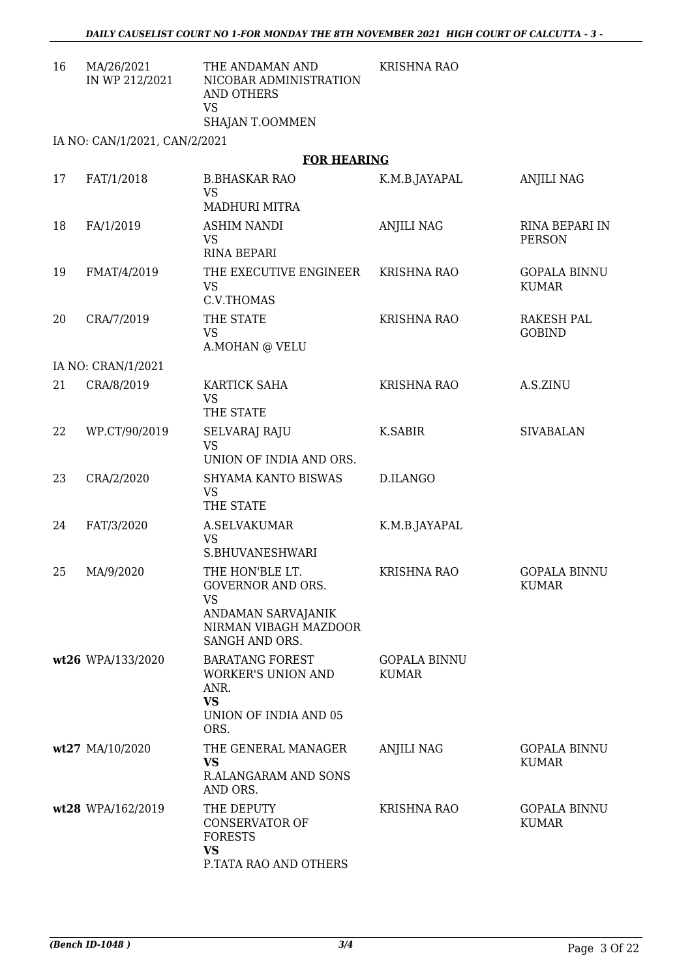| MA/26/2021     | THE ANDAMAN AND        | KRISHNA RAO |
|----------------|------------------------|-------------|
| IN WP 212/2021 | NICOBAR ADMINISTRATION |             |
|                | AND OTHERS             |             |
|                | VS                     |             |
|                | SHAJAN T.OOMMEN        |             |
|                |                        |             |

IA NO: CAN/1/2021, CAN/2/2021

#### **FOR HEARING**

| 17 | FAT/1/2018         | <b>B.BHASKAR RAO</b><br><b>VS</b><br><b>MADHURI MITRA</b>                                                                 | K.M.B.JAYAPAL                       | <b>ANJILI NAG</b>                   |
|----|--------------------|---------------------------------------------------------------------------------------------------------------------------|-------------------------------------|-------------------------------------|
| 18 | FA/1/2019          | <b>ASHIM NANDI</b><br><b>VS</b><br><b>RINA BEPARI</b>                                                                     | <b>ANJILI NAG</b>                   | RINA BEPARI IN<br><b>PERSON</b>     |
| 19 | FMAT/4/2019        | THE EXECUTIVE ENGINEER<br><b>VS</b><br>C.V.THOMAS                                                                         | <b>KRISHNA RAO</b>                  | <b>GOPALA BINNU</b><br><b>KUMAR</b> |
| 20 | CRA/7/2019         | THE STATE<br><b>VS</b><br>A.MOHAN @ VELU                                                                                  | <b>KRISHNA RAO</b>                  | RAKESH PAL<br><b>GOBIND</b>         |
|    | IA NO: CRAN/1/2021 |                                                                                                                           |                                     |                                     |
| 21 | CRA/8/2019         | KARTICK SAHA<br><b>VS</b><br>THE STATE                                                                                    | <b>KRISHNA RAO</b>                  | A.S.ZINU                            |
| 22 | WP.CT/90/2019      | SELVARAJ RAJU<br><b>VS</b><br>UNION OF INDIA AND ORS.                                                                     | K.SABIR                             | <b>SIVABALAN</b>                    |
| 23 | CRA/2/2020         | SHYAMA KANTO BISWAS<br><b>VS</b><br>THE STATE                                                                             | D.ILANGO                            |                                     |
| 24 | FAT/3/2020         | A.SELVAKUMAR<br><b>VS</b><br>S.BHUVANESHWARI                                                                              | K.M.B.JAYAPAL                       |                                     |
| 25 | MA/9/2020          | THE HON'BLE LT.<br><b>GOVERNOR AND ORS.</b><br><b>VS</b><br>ANDAMAN SARVAJANIK<br>NIRMAN VIBAGH MAZDOOR<br>SANGH AND ORS. | <b>KRISHNA RAO</b>                  | <b>GOPALA BINNU</b><br><b>KUMAR</b> |
|    | wt26 WPA/133/2020  | <b>BARATANG FOREST</b><br><b>WORKER'S UNION AND</b><br>ANR.<br><b>VS</b><br>UNION OF INDIA AND 05<br>ORS.                 | <b>GOPALA BINNU</b><br><b>KUMAR</b> |                                     |
|    | wt27 MA/10/2020    | THE GENERAL MANAGER<br><b>VS</b><br><b>R.ALANGARAM AND SONS</b><br>AND ORS.                                               | <b>ANJILI NAG</b>                   | <b>GOPALA BINNU</b><br><b>KUMAR</b> |
|    | wt28 WPA/162/2019  | THE DEPUTY<br><b>CONSERVATOR OF</b><br><b>FORESTS</b><br><b>VS</b><br>P.TATA RAO AND OTHERS                               | <b>KRISHNA RAO</b>                  | <b>GOPALA BINNU</b><br><b>KUMAR</b> |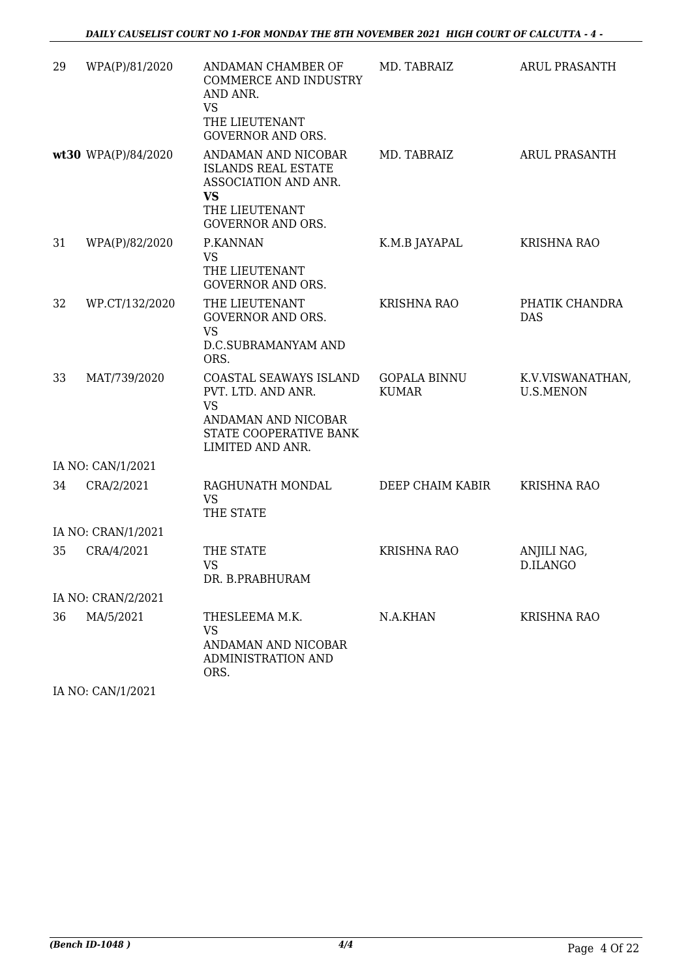| 29 | WPA(P)/81/2020      | ANDAMAN CHAMBER OF<br><b>COMMERCE AND INDUSTRY</b><br>AND ANR.                                                                       | MD. TABRAIZ                         | ARUL PRASANTH                        |
|----|---------------------|--------------------------------------------------------------------------------------------------------------------------------------|-------------------------------------|--------------------------------------|
|    |                     | <b>VS</b><br>THE LIEUTENANT<br><b>GOVERNOR AND ORS.</b>                                                                              |                                     |                                      |
|    | wt30 WPA(P)/84/2020 | ANDAMAN AND NICOBAR<br><b>ISLANDS REAL ESTATE</b><br>ASSOCIATION AND ANR.<br><b>VS</b><br>THE LIEUTENANT<br><b>GOVERNOR AND ORS.</b> | MD. TABRAIZ                         | <b>ARUL PRASANTH</b>                 |
| 31 | WPA(P)/82/2020      | P.KANNAN<br>VS<br>THE LIEUTENANT<br><b>GOVERNOR AND ORS.</b>                                                                         | K.M.B JAYAPAL                       | <b>KRISHNA RAO</b>                   |
| 32 | WP.CT/132/2020      | THE LIEUTENANT<br><b>GOVERNOR AND ORS.</b><br><b>VS</b><br>D.C.SUBRAMANYAM AND<br>ORS.                                               | <b>KRISHNA RAO</b>                  | PHATIK CHANDRA<br><b>DAS</b>         |
| 33 | MAT/739/2020        | COASTAL SEAWAYS ISLAND<br>PVT. LTD. AND ANR.<br><b>VS</b><br>ANDAMAN AND NICOBAR<br>STATE COOPERATIVE BANK<br>LIMITED AND ANR.       | <b>GOPALA BINNU</b><br><b>KUMAR</b> | K.V.VISWANATHAN,<br><b>U.S.MENON</b> |
|    | IA NO: CAN/1/2021   |                                                                                                                                      |                                     |                                      |
| 34 | CRA/2/2021          | RAGHUNATH MONDAL<br><b>VS</b><br>THE STATE                                                                                           | DEEP CHAIM KABIR                    | <b>KRISHNA RAO</b>                   |
|    | IA NO: CRAN/1/2021  |                                                                                                                                      |                                     |                                      |
| 35 | CRA/4/2021          | THE STATE<br><b>VS</b><br>DR. B.PRABHURAM                                                                                            | <b>KRISHNA RAO</b>                  | ANJILI NAG,<br>D.ILANGO              |
|    | IA NO: CRAN/2/2021  |                                                                                                                                      |                                     |                                      |
| 36 | MA/5/2021           | THESLEEMA M.K.<br><b>VS</b><br>ANDAMAN AND NICOBAR<br>ADMINISTRATION AND<br>ORS.                                                     | N.A.KHAN                            | KRISHNA RAO                          |

IA NO: CAN/1/2021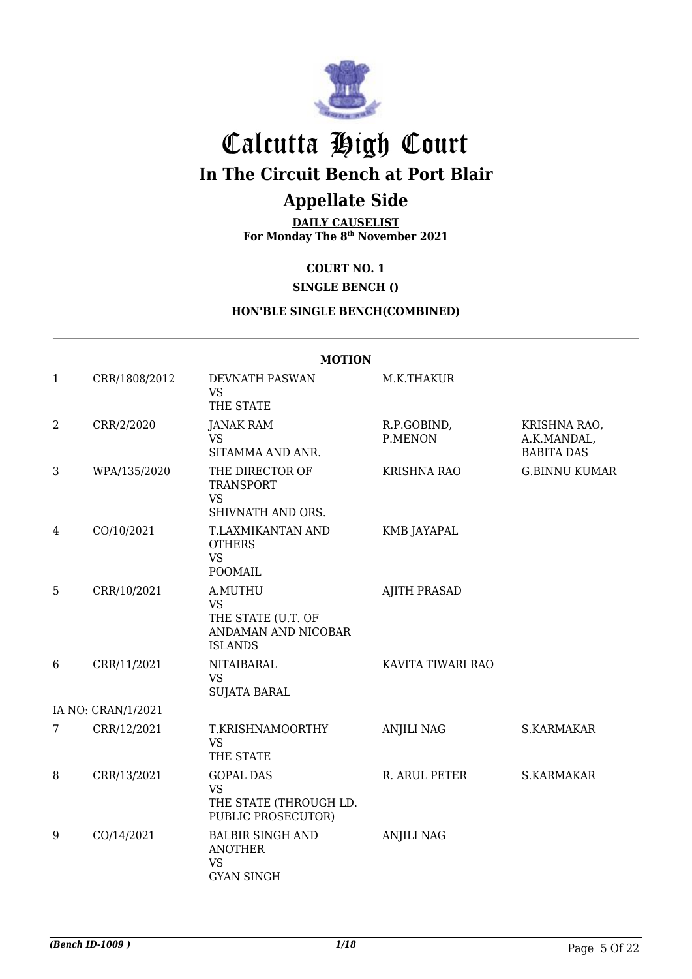

## Calcutta High Court

**In The Circuit Bench at Port Blair**

## **Appellate Side**

**DAILY CAUSELIST For Monday The 8th November 2021**

### **COURT NO. 1**

**SINGLE BENCH ()**

#### **HON'BLE SINGLE BENCH(COMBINED)**

|              | <b>MOTION</b>      |                                                                                     |                        |                                                  |  |
|--------------|--------------------|-------------------------------------------------------------------------------------|------------------------|--------------------------------------------------|--|
| $\mathbf{1}$ | CRR/1808/2012      | <b>DEVNATH PASWAN</b><br><b>VS</b><br>THE STATE                                     | M.K.THAKUR             |                                                  |  |
| 2            | CRR/2/2020         | JANAK RAM<br><b>VS</b><br>SITAMMA AND ANR.                                          | R.P.GOBIND,<br>P.MENON | KRISHNA RAO,<br>A.K.MANDAL,<br><b>BABITA DAS</b> |  |
| 3            | WPA/135/2020       | THE DIRECTOR OF<br><b>TRANSPORT</b><br><b>VS</b><br>SHIVNATH AND ORS.               | <b>KRISHNA RAO</b>     | <b>G.BINNU KUMAR</b>                             |  |
| 4            | CO/10/2021         | T.LAXMIKANTAN AND<br><b>OTHERS</b><br><b>VS</b><br>POOMAIL                          | <b>KMB JAYAPAL</b>     |                                                  |  |
| 5            | CRR/10/2021        | A.MUTHU<br><b>VS</b><br>THE STATE (U.T. OF<br>ANDAMAN AND NICOBAR<br><b>ISLANDS</b> | <b>AJITH PRASAD</b>    |                                                  |  |
| 6            | CRR/11/2021        | <b>NITAIBARAL</b><br><b>VS</b><br><b>SUJATA BARAL</b>                               | KAVITA TIWARI RAO      |                                                  |  |
|              | IA NO: CRAN/1/2021 |                                                                                     |                        |                                                  |  |
| 7            | CRR/12/2021        | T.KRISHNAMOORTHY<br><b>VS</b><br>THE STATE                                          | <b>ANJILI NAG</b>      | S.KARMAKAR                                       |  |
| 8            | CRR/13/2021        | <b>GOPAL DAS</b><br>VS<br>THE STATE (THROUGH LD.<br>PUBLIC PROSECUTOR)              | R. ARUL PETER          | S.KARMAKAR                                       |  |
| 9            | CO/14/2021         | <b>BALBIR SINGH AND</b><br><b>ANOTHER</b><br><b>VS</b><br><b>GYAN SINGH</b>         | <b>ANJILI NAG</b>      |                                                  |  |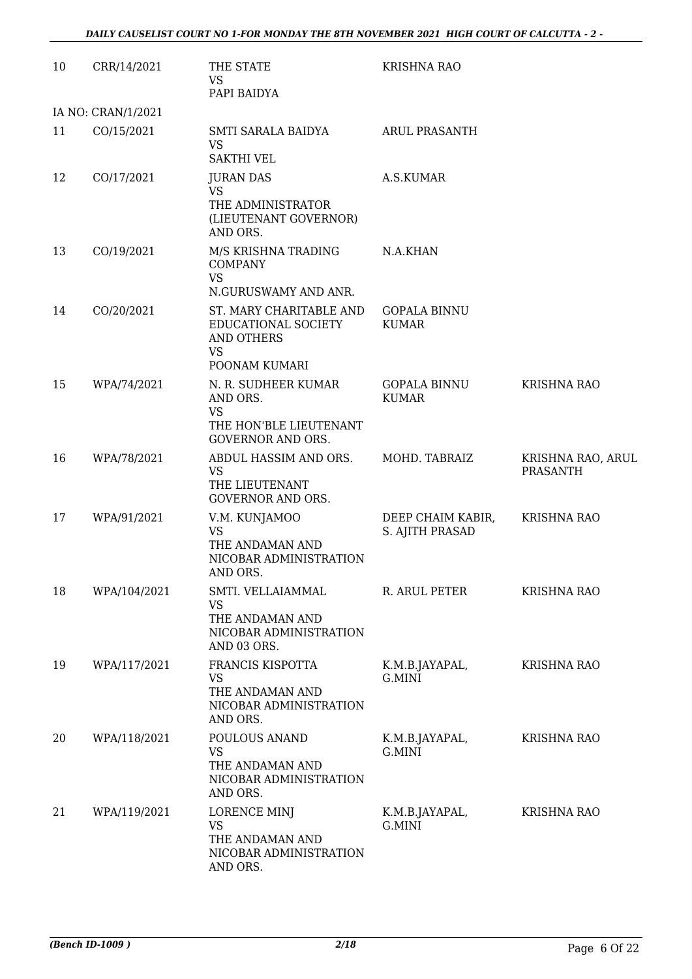| 10 | CRR/14/2021        | THE STATE<br><b>VS</b>                                                                             | <b>KRISHNA RAO</b>                   |                                      |
|----|--------------------|----------------------------------------------------------------------------------------------------|--------------------------------------|--------------------------------------|
|    | IA NO: CRAN/1/2021 | PAPI BAIDYA                                                                                        |                                      |                                      |
| 11 | CO/15/2021         | SMTI SARALA BAIDYA<br><b>VS</b><br><b>SAKTHI VEL</b>                                               | <b>ARUL PRASANTH</b>                 |                                      |
| 12 | CO/17/2021         | <b>JURAN DAS</b><br><b>VS</b><br>THE ADMINISTRATOR<br>(LIEUTENANT GOVERNOR)<br>AND ORS.            | A.S.KUMAR                            |                                      |
| 13 | CO/19/2021         | M/S KRISHNA TRADING<br><b>COMPANY</b><br><b>VS</b><br>N.GURUSWAMY AND ANR.                         | N.A.KHAN                             |                                      |
| 14 | CO/20/2021         | ST. MARY CHARITABLE AND<br>EDUCATIONAL SOCIETY<br>AND OTHERS<br><b>VS</b><br>POONAM KUMARI         | <b>GOPALA BINNU</b><br><b>KUMAR</b>  |                                      |
| 15 | WPA/74/2021        | N. R. SUDHEER KUMAR<br>AND ORS.<br><b>VS</b><br>THE HON'BLE LIEUTENANT<br><b>GOVERNOR AND ORS.</b> | <b>GOPALA BINNU</b><br><b>KUMAR</b>  | <b>KRISHNA RAO</b>                   |
| 16 | WPA/78/2021        | ABDUL HASSIM AND ORS.<br><b>VS</b><br>THE LIEUTENANT<br><b>GOVERNOR AND ORS.</b>                   | MOHD. TABRAIZ                        | KRISHNA RAO, ARUL<br><b>PRASANTH</b> |
| 17 | WPA/91/2021        | V.M. KUNJAMOO<br><b>VS</b><br>THE ANDAMAN AND<br>NICOBAR ADMINISTRATION<br>AND ORS.                | DEEP CHAIM KABIR,<br>S. AJITH PRASAD | <b>KRISHNA RAO</b>                   |
| 18 | WPA/104/2021       | SMTI. VELLAIAMMAL<br>VS<br>THE ANDAMAN AND<br>NICOBAR ADMINISTRATION<br>AND 03 ORS.                | R. ARUL PETER                        | <b>KRISHNA RAO</b>                   |
| 19 | WPA/117/2021       | FRANCIS KISPOTTA<br>VS<br>THE ANDAMAN AND<br>NICOBAR ADMINISTRATION<br>AND ORS.                    | K.M.B.JAYAPAL,<br>G.MINI             | <b>KRISHNA RAO</b>                   |
| 20 | WPA/118/2021       | POULOUS ANAND<br><b>VS</b><br>THE ANDAMAN AND<br>NICOBAR ADMINISTRATION<br>AND ORS.                | K.M.B.JAYAPAL,<br>G.MINI             | <b>KRISHNA RAO</b>                   |
| 21 | WPA/119/2021       | <b>LORENCE MINJ</b><br><b>VS</b><br>THE ANDAMAN AND<br>NICOBAR ADMINISTRATION<br>AND ORS.          | K.M.B.JAYAPAL,<br>G.MINI             | <b>KRISHNA RAO</b>                   |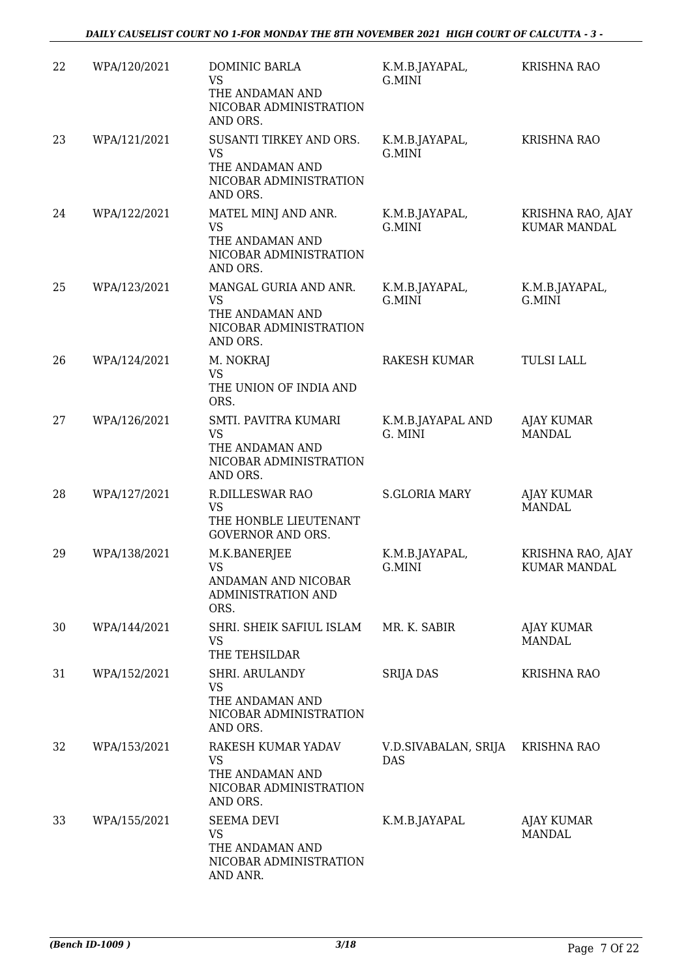| 22 | WPA/120/2021 | DOMINIC BARLA<br>VS<br>THE ANDAMAN AND<br>NICOBAR ADMINISTRATION<br>AND ORS.                  | K.M.B.JAYAPAL,<br>G.MINI           | <b>KRISHNA RAO</b>                       |
|----|--------------|-----------------------------------------------------------------------------------------------|------------------------------------|------------------------------------------|
| 23 | WPA/121/2021 | SUSANTI TIRKEY AND ORS.<br><b>VS</b><br>THE ANDAMAN AND<br>NICOBAR ADMINISTRATION<br>AND ORS. | K.M.B.JAYAPAL,<br>G.MINI           | <b>KRISHNA RAO</b>                       |
| 24 | WPA/122/2021 | MATEL MINJ AND ANR.<br><b>VS</b><br>THE ANDAMAN AND<br>NICOBAR ADMINISTRATION<br>AND ORS.     | K.M.B.JAYAPAL,<br>G.MINI           | KRISHNA RAO, AJAY<br><b>KUMAR MANDAL</b> |
| 25 | WPA/123/2021 | MANGAL GURIA AND ANR.<br><b>VS</b><br>THE ANDAMAN AND<br>NICOBAR ADMINISTRATION<br>AND ORS.   | K.M.B.JAYAPAL,<br>G.MINI           | K.M.B.JAYAPAL,<br>G.MINI                 |
| 26 | WPA/124/2021 | M. NOKRAJ<br><b>VS</b><br>THE UNION OF INDIA AND<br>ORS.                                      | <b>RAKESH KUMAR</b>                | <b>TULSI LALL</b>                        |
| 27 | WPA/126/2021 | SMTI. PAVITRA KUMARI<br><b>VS</b><br>THE ANDAMAN AND<br>NICOBAR ADMINISTRATION<br>AND ORS.    | K.M.B.JAYAPAL AND<br>G. MINI       | <b>AJAY KUMAR</b><br><b>MANDAL</b>       |
| 28 | WPA/127/2021 | <b>R.DILLESWAR RAO</b><br><b>VS</b><br>THE HONBLE LIEUTENANT<br><b>GOVERNOR AND ORS.</b>      | <b>S.GLORIA MARY</b>               | <b>AJAY KUMAR</b><br><b>MANDAL</b>       |
| 29 | WPA/138/2021 | M.K.BANERJEE<br><b>VS</b><br>ANDAMAN AND NICOBAR<br><b>ADMINISTRATION AND</b><br>ORS.         | K.M.B.JAYAPAL,<br>G.MINI           | KRISHNA RAO, AJAY<br><b>KUMAR MANDAL</b> |
| 30 | WPA/144/2021 | SHRI. SHEIK SAFIUL ISLAM<br><b>VS</b><br>THE TEHSILDAR                                        | MR. K. SABIR                       | <b>AJAY KUMAR</b><br>MANDAL              |
| 31 | WPA/152/2021 | SHRI. ARULANDY<br><b>VS</b><br>THE ANDAMAN AND<br>NICOBAR ADMINISTRATION<br>AND ORS.          | <b>SRIJA DAS</b>                   | <b>KRISHNA RAO</b>                       |
| 32 | WPA/153/2021 | RAKESH KUMAR YADAV<br><b>VS</b><br>THE ANDAMAN AND<br>NICOBAR ADMINISTRATION<br>AND ORS.      | V.D.SIVABALAN, SRIJA<br><b>DAS</b> | <b>KRISHNA RAO</b>                       |
| 33 | WPA/155/2021 | <b>SEEMA DEVI</b><br><b>VS</b><br>THE ANDAMAN AND<br>NICOBAR ADMINISTRATION<br>AND ANR.       | K.M.B.JAYAPAL                      | AJAY KUMAR<br><b>MANDAL</b>              |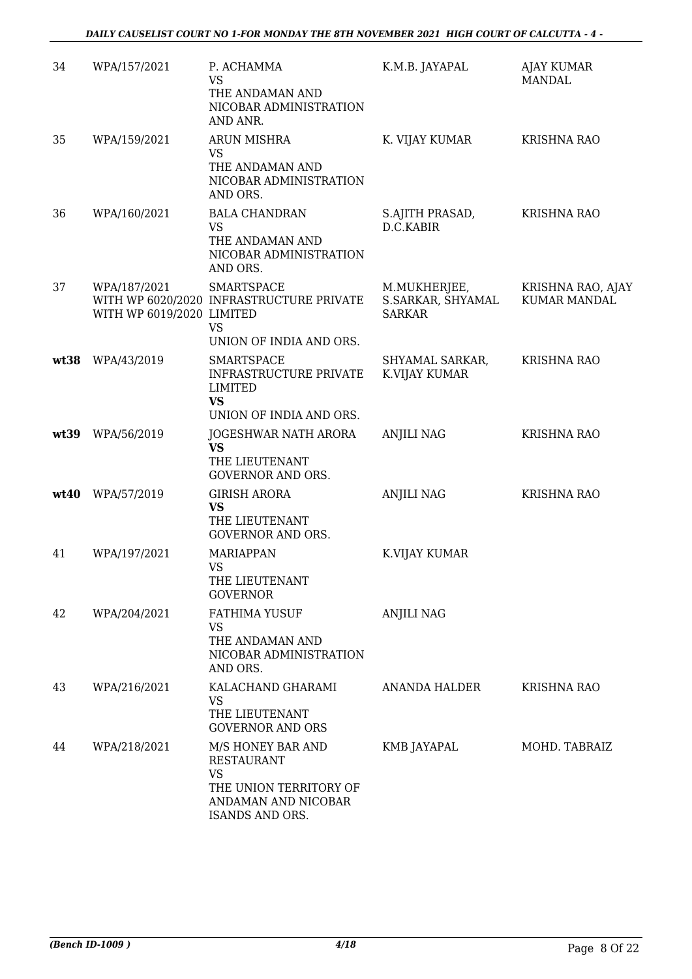| 34   | WPA/157/2021                              | P. ACHAMMA<br>VS<br>THE ANDAMAN AND<br>NICOBAR ADMINISTRATION<br>AND ANR.                                               | K.M.B. JAYAPAL                                     | <b>AJAY KUMAR</b><br>MANDAL              |
|------|-------------------------------------------|-------------------------------------------------------------------------------------------------------------------------|----------------------------------------------------|------------------------------------------|
| 35   | WPA/159/2021                              | <b>ARUN MISHRA</b><br><b>VS</b><br>THE ANDAMAN AND<br>NICOBAR ADMINISTRATION<br>AND ORS.                                | K. VIJAY KUMAR                                     | KRISHNA RAO                              |
| 36   | WPA/160/2021                              | <b>BALA CHANDRAN</b><br><b>VS</b><br>THE ANDAMAN AND<br>NICOBAR ADMINISTRATION<br>AND ORS.                              | S.AJITH PRASAD,<br>D.C.KABIR                       | <b>KRISHNA RAO</b>                       |
| 37   | WPA/187/2021<br>WITH WP 6019/2020 LIMITED | <b>SMARTSPACE</b><br>WITH WP 6020/2020 INFRASTRUCTURE PRIVATE<br><b>VS</b><br>UNION OF INDIA AND ORS.                   | M.MUKHERJEE,<br>S.SARKAR, SHYAMAL<br><b>SARKAR</b> | KRISHNA RAO, AJAY<br><b>KUMAR MANDAL</b> |
| wt38 | WPA/43/2019                               | <b>SMARTSPACE</b><br><b>INFRASTRUCTURE PRIVATE</b><br>LIMITED<br><b>VS</b><br>UNION OF INDIA AND ORS.                   | SHYAMAL SARKAR,<br>K.VIJAY KUMAR                   | <b>KRISHNA RAO</b>                       |
| wt39 | WPA/56/2019                               | JOGESHWAR NATH ARORA<br><b>VS</b><br>THE LIEUTENANT<br><b>GOVERNOR AND ORS.</b>                                         | <b>ANJILI NAG</b>                                  | <b>KRISHNA RAO</b>                       |
| wt40 | WPA/57/2019                               | <b>GIRISH ARORA</b><br>VS<br>THE LIEUTENANT<br><b>GOVERNOR AND ORS.</b>                                                 | ANJILI NAG                                         | <b>KRISHNA RAO</b>                       |
| 41   | WPA/197/2021                              | <b>MARIAPPAN</b><br><b>VS</b><br>THE LIEUTENANT<br><b>GOVERNOR</b>                                                      | K.VIJAY KUMAR                                      |                                          |
| 42   | WPA/204/2021                              | <b>FATHIMA YUSUF</b><br><b>VS</b><br>THE ANDAMAN AND<br>NICOBAR ADMINISTRATION<br>AND ORS.                              | <b>ANJILI NAG</b>                                  |                                          |
| 43   | WPA/216/2021                              | KALACHAND GHARAMI<br><b>VS</b><br>THE LIEUTENANT<br><b>GOVERNOR AND ORS</b>                                             | ANANDA HALDER                                      | <b>KRISHNA RAO</b>                       |
| 44   | WPA/218/2021                              | M/S HONEY BAR AND<br><b>RESTAURANT</b><br><b>VS</b><br>THE UNION TERRITORY OF<br>ANDAMAN AND NICOBAR<br>ISANDS AND ORS. | KMB JAYAPAL                                        | MOHD. TABRAIZ                            |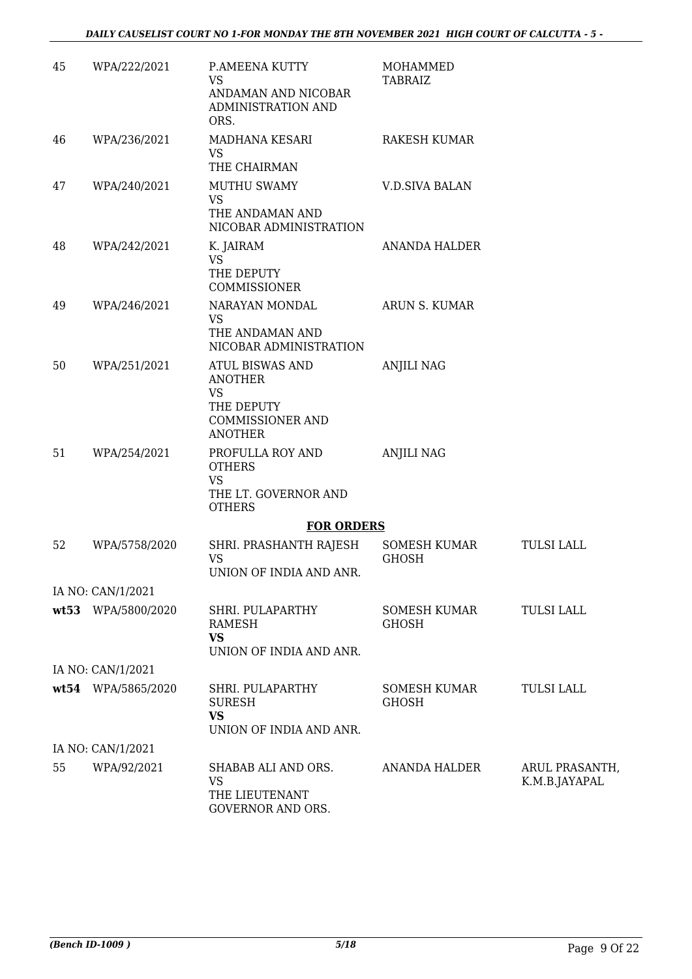| 45 | WPA/222/2021       | P.AMEENA KUTTY<br><b>VS</b><br>ANDAMAN AND NICOBAR<br>ADMINISTRATION AND<br>ORS.                                 | <b>MOHAMMED</b><br><b>TABRAIZ</b>   |                                 |
|----|--------------------|------------------------------------------------------------------------------------------------------------------|-------------------------------------|---------------------------------|
| 46 | WPA/236/2021       | MADHANA KESARI<br><b>VS</b><br>THE CHAIRMAN                                                                      | RAKESH KUMAR                        |                                 |
| 47 | WPA/240/2021       | <b>MUTHU SWAMY</b><br><b>VS</b><br>THE ANDAMAN AND<br>NICOBAR ADMINISTRATION                                     | <b>V.D.SIVA BALAN</b>               |                                 |
| 48 | WPA/242/2021       | K. JAIRAM<br><b>VS</b><br>THE DEPUTY<br><b>COMMISSIONER</b>                                                      | ANANDA HALDER                       |                                 |
| 49 | WPA/246/2021       | NARAYAN MONDAL<br><b>VS</b><br>THE ANDAMAN AND<br>NICOBAR ADMINISTRATION                                         | ARUN S. KUMAR                       |                                 |
| 50 | WPA/251/2021       | <b>ATUL BISWAS AND</b><br><b>ANOTHER</b><br><b>VS</b><br>THE DEPUTY<br><b>COMMISSIONER AND</b><br><b>ANOTHER</b> | <b>ANJILI NAG</b>                   |                                 |
| 51 | WPA/254/2021       | PROFULLA ROY AND<br><b>OTHERS</b><br><b>VS</b><br>THE LT. GOVERNOR AND<br><b>OTHERS</b>                          | <b>ANJILI NAG</b>                   |                                 |
|    |                    | <b>FOR ORDERS</b>                                                                                                |                                     |                                 |
| 52 | WPA/5758/2020      | SHRI. PRASHANTH RAJESH<br><b>VS</b><br>UNION OF INDIA AND ANR.                                                   | SOMESH KUMAR<br><b>GHOSH</b>        | <b>TULSI LALL</b>               |
|    | IA NO: CAN/1/2021  |                                                                                                                  |                                     |                                 |
|    | wt53 WPA/5800/2020 | SHRI. PULAPARTHY<br>RAMESH<br><b>VS</b><br>UNION OF INDIA AND ANR.                                               | <b>SOMESH KUMAR</b><br><b>GHOSH</b> | <b>TULSI LALL</b>               |
|    | IA NO: CAN/1/2021  |                                                                                                                  |                                     |                                 |
|    | wt54 WPA/5865/2020 | SHRI. PULAPARTHY<br><b>SURESH</b><br><b>VS</b><br>UNION OF INDIA AND ANR.                                        | SOMESH KUMAR<br><b>GHOSH</b>        | <b>TULSI LALL</b>               |
|    | IA NO: CAN/1/2021  |                                                                                                                  |                                     |                                 |
| 55 | WPA/92/2021        | SHABAB ALI AND ORS.<br><b>VS</b><br>THE LIEUTENANT<br>GOVERNOR AND ORS.                                          | ANANDA HALDER                       | ARUL PRASANTH,<br>K.M.B.JAYAPAL |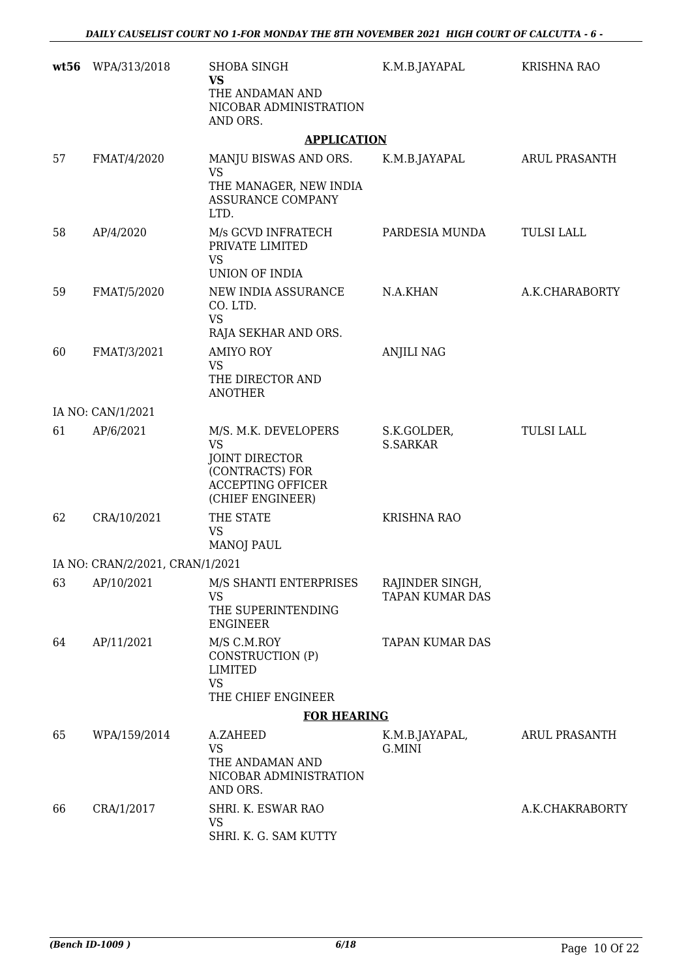| wt56 | WPA/313/2018                    | SHOBA SINGH<br><b>VS</b><br>THE ANDAMAN AND<br>NICOBAR ADMINISTRATION<br>AND ORS.                                             | K.M.B.JAYAPAL                             | <b>KRISHNA RAO</b> |
|------|---------------------------------|-------------------------------------------------------------------------------------------------------------------------------|-------------------------------------------|--------------------|
|      |                                 | <b>APPLICATION</b>                                                                                                            |                                           |                    |
| 57   | FMAT/4/2020                     | MANJU BISWAS AND ORS.<br><b>VS</b><br>THE MANAGER, NEW INDIA<br>ASSURANCE COMPANY<br>LTD.                                     | K.M.B.JAYAPAL                             | ARUL PRASANTH      |
| 58   | AP/4/2020                       | M/s GCVD INFRATECH<br>PRIVATE LIMITED<br><b>VS</b><br>UNION OF INDIA                                                          | PARDESIA MUNDA                            | <b>TULSI LALL</b>  |
| 59   | FMAT/5/2020                     | NEW INDIA ASSURANCE<br>CO. LTD.<br><b>VS</b><br>RAJA SEKHAR AND ORS.                                                          | N.A.KHAN                                  | A.K.CHARABORTY     |
| 60   | FMAT/3/2021                     | <b>AMIYO ROY</b><br><b>VS</b><br>THE DIRECTOR AND<br><b>ANOTHER</b>                                                           | <b>ANJILI NAG</b>                         |                    |
|      | IA NO: CAN/1/2021               |                                                                                                                               |                                           |                    |
| 61   | AP/6/2021                       | M/S. M.K. DEVELOPERS<br><b>VS</b><br><b>JOINT DIRECTOR</b><br>(CONTRACTS) FOR<br><b>ACCEPTING OFFICER</b><br>(CHIEF ENGINEER) | S.K.GOLDER,<br><b>S.SARKAR</b>            | <b>TULSI LALL</b>  |
| 62   | CRA/10/2021                     | THE STATE<br><b>VS</b><br><b>MANOJ PAUL</b>                                                                                   | <b>KRISHNA RAO</b>                        |                    |
|      | IA NO: CRAN/2/2021, CRAN/1/2021 |                                                                                                                               |                                           |                    |
| 63   | AP/10/2021                      | M/S SHANTI ENTERPRISES<br><b>VS</b><br>THE SUPERINTENDING<br><b>ENGINEER</b>                                                  | RAJINDER SINGH,<br><b>TAPAN KUMAR DAS</b> |                    |
| 64   | AP/11/2021                      | M/S C.M.ROY<br>CONSTRUCTION (P)<br><b>LIMITED</b><br><b>VS</b><br>THE CHIEF ENGINEER                                          | TAPAN KUMAR DAS                           |                    |
|      |                                 | <b>FOR HEARING</b>                                                                                                            |                                           |                    |
| 65   | WPA/159/2014                    | A.ZAHEED<br><b>VS</b><br>THE ANDAMAN AND<br>NICOBAR ADMINISTRATION<br>AND ORS.                                                | K.M.B.JAYAPAL,<br>G.MINI                  | ARUL PRASANTH      |
| 66   | CRA/1/2017                      | SHRI. K. ESWAR RAO<br>VS<br>SHRI. K. G. SAM KUTTY                                                                             |                                           | A.K.CHAKRABORTY    |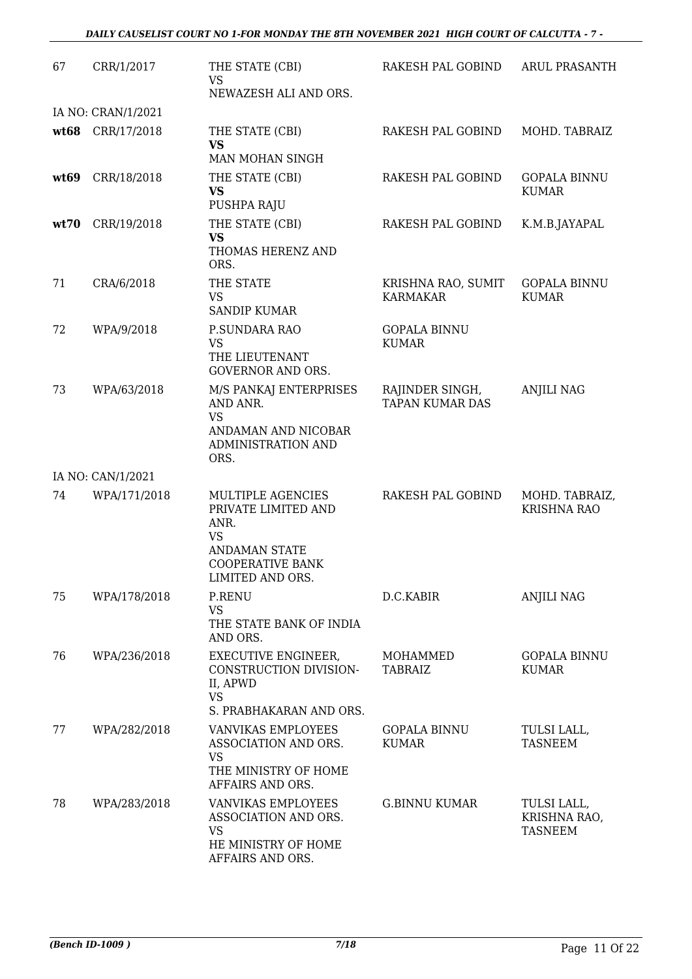| 67   | CRR/1/2017         | THE STATE (CBI)<br><b>VS</b>                                                                                                         | RAKESH PAL GOBIND                         | <b>ARUL PRASANTH</b>                          |
|------|--------------------|--------------------------------------------------------------------------------------------------------------------------------------|-------------------------------------------|-----------------------------------------------|
|      |                    | NEWAZESH ALI AND ORS.                                                                                                                |                                           |                                               |
|      | IA NO: CRAN/1/2021 |                                                                                                                                      |                                           |                                               |
|      | wt68 CRR/17/2018   | THE STATE (CBI)<br><b>VS</b><br>MAN MOHAN SINGH                                                                                      | RAKESH PAL GOBIND                         | MOHD. TABRAIZ                                 |
| wt69 | CRR/18/2018        | THE STATE (CBI)<br><b>VS</b><br>PUSHPA RAJU                                                                                          | RAKESH PAL GOBIND                         | <b>GOPALA BINNU</b><br><b>KUMAR</b>           |
| wt70 | CRR/19/2018        | THE STATE (CBI)<br><b>VS</b><br>THOMAS HERENZ AND<br>ORS.                                                                            | RAKESH PAL GOBIND                         | K.M.B.JAYAPAL                                 |
| 71   | CRA/6/2018         | THE STATE<br>VS<br><b>SANDIP KUMAR</b>                                                                                               | KRISHNA RAO, SUMIT<br>KARMAKAR            | <b>GOPALA BINNU</b><br><b>KUMAR</b>           |
| 72   | WPA/9/2018         | P.SUNDARA RAO<br><b>VS</b><br>THE LIEUTENANT<br><b>GOVERNOR AND ORS.</b>                                                             | <b>GOPALA BINNU</b><br><b>KUMAR</b>       |                                               |
| 73   | WPA/63/2018        | M/S PANKAJ ENTERPRISES<br>AND ANR.<br><b>VS</b><br>ANDAMAN AND NICOBAR<br>ADMINISTRATION AND<br>ORS.                                 | RAJINDER SINGH,<br><b>TAPAN KUMAR DAS</b> | <b>ANJILI NAG</b>                             |
|      | IA NO: CAN/1/2021  |                                                                                                                                      |                                           |                                               |
| 74   | WPA/171/2018       | MULTIPLE AGENCIES<br>PRIVATE LIMITED AND<br>ANR.<br><b>VS</b><br><b>ANDAMAN STATE</b><br><b>COOPERATIVE BANK</b><br>LIMITED AND ORS. | RAKESH PAL GOBIND                         | MOHD. TABRAIZ,<br><b>KRISHNA RAO</b>          |
| 75   | WPA/178/2018       | P.RENU<br><b>VS</b><br>THE STATE BANK OF INDIA<br>AND ORS.                                                                           | D.C.KABIR                                 | <b>ANJILI NAG</b>                             |
| 76   | WPA/236/2018       | EXECUTIVE ENGINEER,<br>CONSTRUCTION DIVISION-<br>II, APWD<br><b>VS</b><br>S. PRABHAKARAN AND ORS.                                    | MOHAMMED<br><b>TABRAIZ</b>                | <b>GOPALA BINNU</b><br><b>KUMAR</b>           |
| 77   | WPA/282/2018       | <b>VANVIKAS EMPLOYEES</b><br>ASSOCIATION AND ORS.<br><b>VS</b><br>THE MINISTRY OF HOME<br>AFFAIRS AND ORS.                           | <b>GOPALA BINNU</b><br><b>KUMAR</b>       | TULSI LALL,<br>TASNEEM                        |
| 78   | WPA/283/2018       | VANVIKAS EMPLOYEES<br>ASSOCIATION AND ORS.<br><b>VS</b><br>HE MINISTRY OF HOME<br>AFFAIRS AND ORS.                                   | <b>G.BINNU KUMAR</b>                      | TULSI LALL,<br>KRISHNA RAO,<br><b>TASNEEM</b> |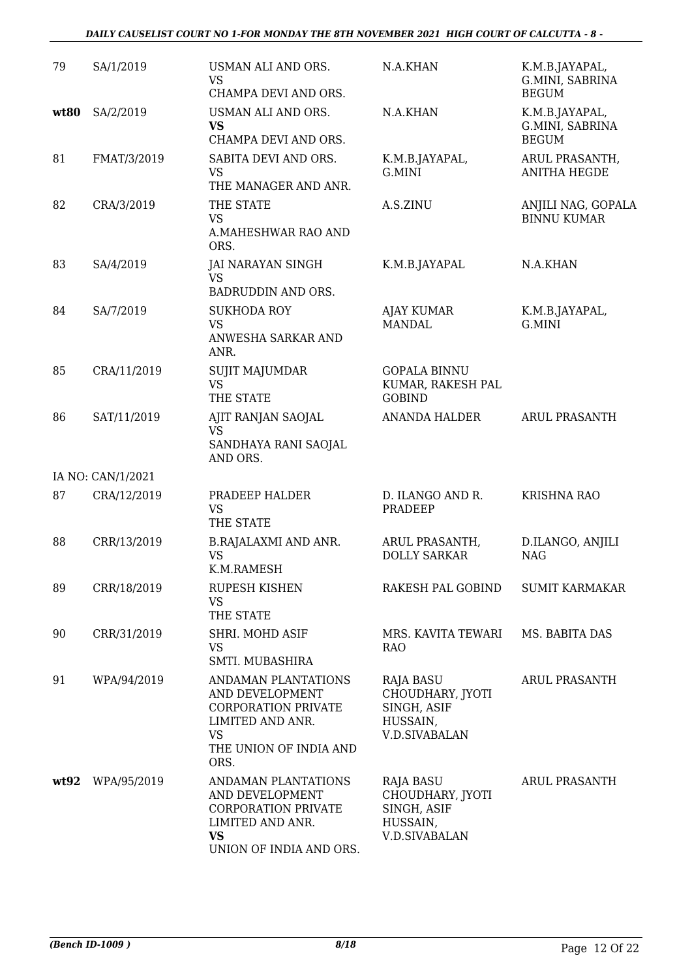#### *DAILY CAUSELIST COURT NO 1-FOR MONDAY THE 8TH NOVEMBER 2021 HIGH COURT OF CALCUTTA - 8 -*

| 79   | SA/1/2019         | USMAN ALI AND ORS.<br><b>VS</b><br>CHAMPA DEVI AND ORS.                                                                          | N.A.KHAN                                                                                | K.M.B.JAYAPAL,<br>G.MINI, SABRINA<br><b>BEGUM</b> |
|------|-------------------|----------------------------------------------------------------------------------------------------------------------------------|-----------------------------------------------------------------------------------------|---------------------------------------------------|
| wt80 | SA/2/2019         | USMAN ALI AND ORS.<br><b>VS</b><br>CHAMPA DEVI AND ORS.                                                                          | N.A.KHAN                                                                                | K.M.B.JAYAPAL,<br>G.MINI, SABRINA<br><b>BEGUM</b> |
| 81   | FMAT/3/2019       | SABITA DEVI AND ORS.<br><b>VS</b><br>THE MANAGER AND ANR.                                                                        | K.M.B.JAYAPAL,<br>G.MINI                                                                | ARUL PRASANTH,<br><b>ANITHA HEGDE</b>             |
| 82   | CRA/3/2019        | THE STATE<br><b>VS</b><br>A.MAHESHWAR RAO AND<br>ORS.                                                                            | A.S.ZINU                                                                                | ANJILI NAG, GOPALA<br><b>BINNU KUMAR</b>          |
| 83   | SA/4/2019         | <b>JAI NARAYAN SINGH</b><br><b>VS</b><br>BADRUDDIN AND ORS.                                                                      | K.M.B.JAYAPAL                                                                           | N.A.KHAN                                          |
| 84   | SA/7/2019         | <b>SUKHODA ROY</b><br><b>VS</b><br>ANWESHA SARKAR AND<br>ANR.                                                                    | AJAY KUMAR<br><b>MANDAL</b>                                                             | K.M.B.JAYAPAL,<br>G.MINI                          |
| 85   | CRA/11/2019       | <b>SUJIT MAJUMDAR</b><br><b>VS</b><br>THE STATE                                                                                  | <b>GOPALA BINNU</b><br>KUMAR, RAKESH PAL<br><b>GOBIND</b>                               |                                                   |
| 86   | SAT/11/2019       | AJIT RANJAN SAOJAL<br><b>VS</b><br>SANDHAYA RANI SAOJAL<br>AND ORS.                                                              | ANANDA HALDER                                                                           | <b>ARUL PRASANTH</b>                              |
|      | IA NO: CAN/1/2021 |                                                                                                                                  |                                                                                         |                                                   |
| 87   | CRA/12/2019       | PRADEEP HALDER<br><b>VS</b><br>THE STATE                                                                                         | D. ILANGO AND R.<br>PRADEEP                                                             | <b>KRISHNA RAO</b>                                |
| 88   | CRR/13/2019       | <b>B.RAJALAXMI AND ANR.</b><br><b>VS</b><br>K.M.RAMESH                                                                           | ARUL PRASANTH,<br><b>DOLLY SARKAR</b>                                                   | D.ILANGO, ANJILI<br><b>NAG</b>                    |
| 89   | CRR/18/2019       | RUPESH KISHEN<br>VS<br>THE STATE                                                                                                 | RAKESH PAL GOBIND                                                                       | <b>SUMIT KARMAKAR</b>                             |
| 90   | CRR/31/2019       | SHRI. MOHD ASIF<br>VS.<br>SMTI. MUBASHIRA                                                                                        | MRS. KAVITA TEWARI<br><b>RAO</b>                                                        | MS. BABITA DAS                                    |
| 91   | WPA/94/2019       | ANDAMAN PLANTATIONS<br>AND DEVELOPMENT<br>CORPORATION PRIVATE<br>LIMITED AND ANR.<br><b>VS</b><br>THE UNION OF INDIA AND<br>ORS. | RAJA BASU<br>CHOUDHARY, JYOTI<br>SINGH, ASIF<br>HUSSAIN,<br><b>V.D.SIVABALAN</b>        | <b>ARUL PRASANTH</b>                              |
| wt92 | WPA/95/2019       | ANDAMAN PLANTATIONS<br>AND DEVELOPMENT<br><b>CORPORATION PRIVATE</b><br>LIMITED AND ANR.<br><b>VS</b><br>UNION OF INDIA AND ORS. | <b>RAJA BASU</b><br>CHOUDHARY, JYOTI<br>SINGH, ASIF<br>HUSSAIN,<br><b>V.D.SIVABALAN</b> | <b>ARUL PRASANTH</b>                              |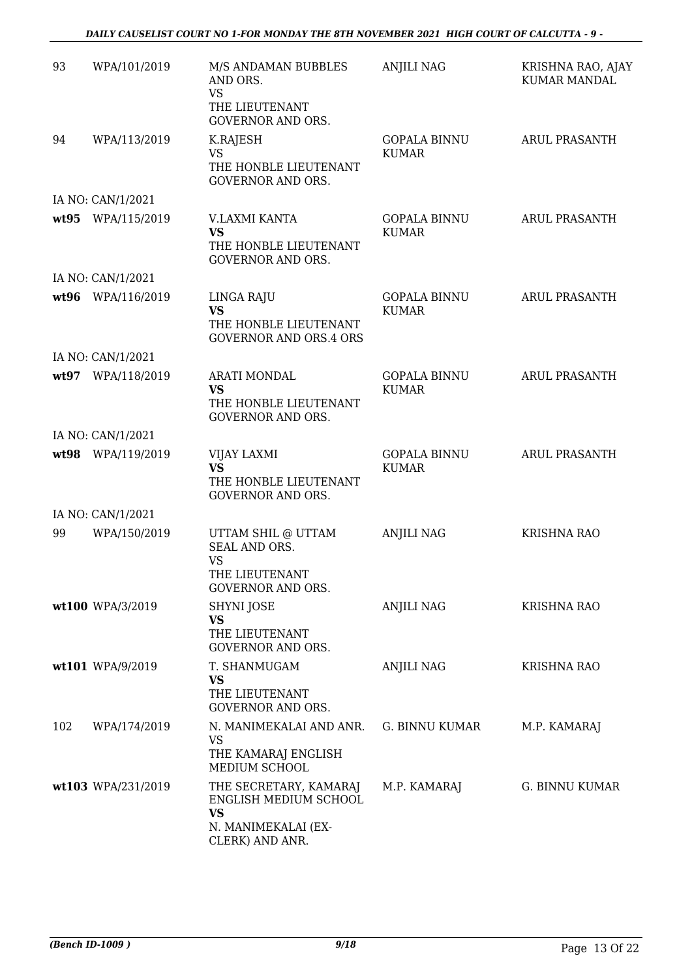*DAILY CAUSELIST COURT NO 1-FOR MONDAY THE 8TH NOVEMBER 2021 HIGH COURT OF CALCUTTA - 9 -* 

| 93   | WPA/101/2019       | M/S ANDAMAN BUBBLES<br>AND ORS.<br><b>VS</b><br>THE LIEUTENANT<br><b>GOVERNOR AND ORS.</b>      | <b>ANJILI NAG</b>                   | KRISHNA RAO, AJAY<br><b>KUMAR MANDAL</b> |
|------|--------------------|-------------------------------------------------------------------------------------------------|-------------------------------------|------------------------------------------|
| 94   | WPA/113/2019       | K.RAJESH<br><b>VS</b><br>THE HONBLE LIEUTENANT<br><b>GOVERNOR AND ORS.</b>                      | <b>GOPALA BINNU</b><br><b>KUMAR</b> | <b>ARUL PRASANTH</b>                     |
|      | IA NO: CAN/1/2021  |                                                                                                 |                                     |                                          |
|      | wt95 WPA/115/2019  | V.LAXMI KANTA<br><b>VS</b><br>THE HONBLE LIEUTENANT<br><b>GOVERNOR AND ORS.</b>                 | <b>GOPALA BINNU</b><br><b>KUMAR</b> | <b>ARUL PRASANTH</b>                     |
|      | IA NO: CAN/1/2021  |                                                                                                 |                                     |                                          |
| wt96 | WPA/116/2019       | LINGA RAJU<br><b>VS</b><br>THE HONBLE LIEUTENANT<br><b>GOVERNOR AND ORS.4 ORS</b>               | <b>GOPALA BINNU</b><br><b>KUMAR</b> | <b>ARUL PRASANTH</b>                     |
|      | IA NO: CAN/1/2021  |                                                                                                 |                                     |                                          |
|      | wt97 WPA/118/2019  | <b>ARATI MONDAL</b><br>VS<br>THE HONBLE LIEUTENANT<br><b>GOVERNOR AND ORS.</b>                  | <b>GOPALA BINNU</b><br><b>KUMAR</b> | ARUL PRASANTH                            |
|      | IA NO: CAN/1/2021  |                                                                                                 |                                     |                                          |
|      | wt98 WPA/119/2019  | VIJAY LAXMI<br><b>VS</b><br>THE HONBLE LIEUTENANT<br><b>GOVERNOR AND ORS.</b>                   | <b>GOPALA BINNU</b><br><b>KUMAR</b> | <b>ARUL PRASANTH</b>                     |
|      | IA NO: CAN/1/2021  |                                                                                                 |                                     |                                          |
| 99   | WPA/150/2019       | UTTAM SHIL @ UTTAM<br>SEAL AND ORS.<br><b>VS</b><br>THE LIEUTENANT<br><b>GOVERNOR AND ORS.</b>  | <b>ANJILI NAG</b>                   | <b>KRISHNA RAO</b>                       |
|      | wt100 WPA/3/2019   | SHYNI JOSE<br><b>VS</b><br>THE LIEUTENANT<br><b>GOVERNOR AND ORS.</b>                           | ANJILI NAG                          | <b>KRISHNA RAO</b>                       |
|      | wt101 WPA/9/2019   | T. SHANMUGAM<br><b>VS</b><br>THE LIEUTENANT<br><b>GOVERNOR AND ORS.</b>                         | ANJILI NAG                          | <b>KRISHNA RAO</b>                       |
| 102  | WPA/174/2019       | N. MANIMEKALAI AND ANR.<br><b>VS</b><br>THE KAMARAJ ENGLISH<br>MEDIUM SCHOOL                    | G. BINNU KUMAR                      | M.P. KAMARAJ                             |
|      | wt103 WPA/231/2019 | THE SECRETARY, KAMARAJ<br>ENGLISH MEDIUM SCHOOL<br>VS<br>N. MANIMEKALAI (EX-<br>CLERK) AND ANR. | M.P. KAMARAJ                        | G. BINNU KUMAR                           |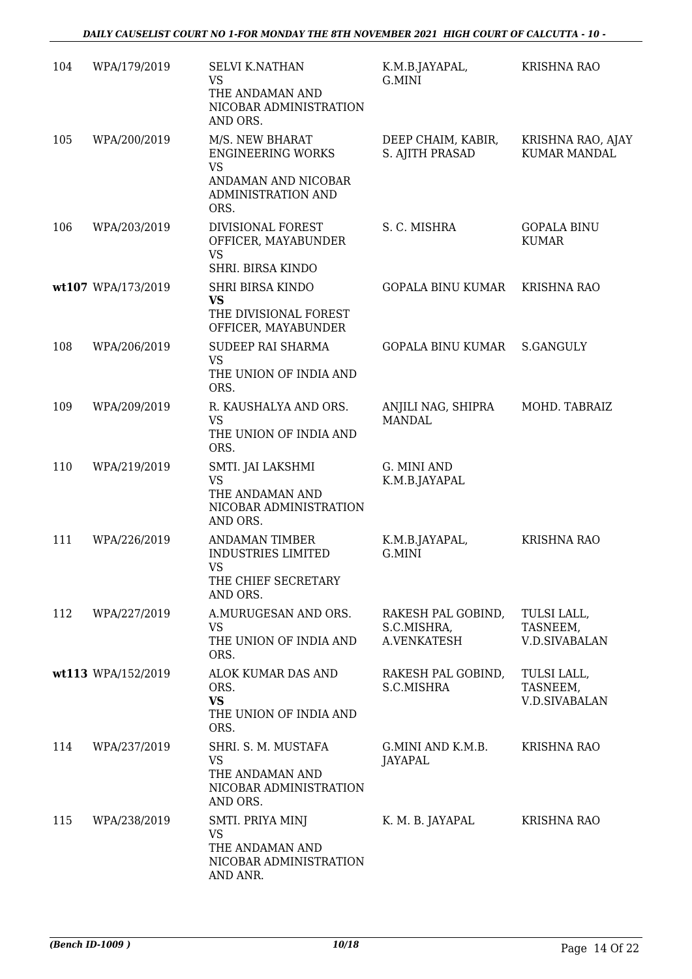| 104 | WPA/179/2019       | <b>SELVI K.NATHAN</b><br>VS<br>THE ANDAMAN AND<br>NICOBAR ADMINISTRATION<br>AND ORS.                          | K.M.B.JAYAPAL,<br>G.MINI                         | <b>KRISHNA RAO</b>                              |
|-----|--------------------|---------------------------------------------------------------------------------------------------------------|--------------------------------------------------|-------------------------------------------------|
| 105 | WPA/200/2019       | M/S. NEW BHARAT<br><b>ENGINEERING WORKS</b><br><b>VS</b><br>ANDAMAN AND NICOBAR<br>ADMINISTRATION AND<br>ORS. | DEEP CHAIM, KABIR,<br>S. AJITH PRASAD            | KRISHNA RAO, AJAY<br>KUMAR MANDAL               |
| 106 | WPA/203/2019       | DIVISIONAL FOREST<br>OFFICER, MAYABUNDER<br><b>VS</b><br>SHRI. BIRSA KINDO                                    | S. C. MISHRA                                     | <b>GOPALA BINU</b><br><b>KUMAR</b>              |
|     | wt107 WPA/173/2019 | <b>SHRI BIRSA KINDO</b><br><b>VS</b><br>THE DIVISIONAL FOREST<br>OFFICER, MAYABUNDER                          | <b>GOPALA BINU KUMAR</b>                         | <b>KRISHNA RAO</b>                              |
| 108 | WPA/206/2019       | SUDEEP RAI SHARMA<br><b>VS</b><br>THE UNION OF INDIA AND<br>ORS.                                              | <b>GOPALA BINU KUMAR</b>                         | S.GANGULY                                       |
| 109 | WPA/209/2019       | R. KAUSHALYA AND ORS.<br><b>VS</b><br>THE UNION OF INDIA AND<br>ORS.                                          | ANJILI NAG, SHIPRA<br><b>MANDAL</b>              | MOHD. TABRAIZ                                   |
| 110 | WPA/219/2019       | SMTI. JAI LAKSHMI<br><b>VS</b><br>THE ANDAMAN AND<br>NICOBAR ADMINISTRATION<br>AND ORS.                       | G. MINI AND<br>K.M.B.JAYAPAL                     |                                                 |
| 111 | WPA/226/2019       | <b>ANDAMAN TIMBER</b><br><b>INDUSTRIES LIMITED</b><br><b>VS</b><br>THE CHIEF SECRETARY<br>AND ORS.            | K.M.B.JAYAPAL,<br>G.MINI                         | <b>KRISHNA RAO</b>                              |
| 112 | WPA/227/2019       | A.MURUGESAN AND ORS.<br><b>VS</b><br>THE UNION OF INDIA AND<br>ORS.                                           | RAKESH PAL GOBIND,<br>S.C.MISHRA,<br>A.VENKATESH | TULSI LALL,<br>TASNEEM,<br><b>V.D.SIVABALAN</b> |
|     | wt113 WPA/152/2019 | ALOK KUMAR DAS AND<br>ORS.<br><b>VS</b><br>THE UNION OF INDIA AND<br>ORS.                                     | RAKESH PAL GOBIND,<br>S.C.MISHRA                 | TULSI LALL,<br>TASNEEM,<br><b>V.D.SIVABALAN</b> |
| 114 | WPA/237/2019       | SHRI. S. M. MUSTAFA<br><b>VS</b><br>THE ANDAMAN AND<br>NICOBAR ADMINISTRATION<br>AND ORS.                     | G.MINI AND K.M.B.<br>JAYAPAL                     | <b>KRISHNA RAO</b>                              |
| 115 | WPA/238/2019       | SMTI. PRIYA MINJ<br><b>VS</b><br>THE ANDAMAN AND<br>NICOBAR ADMINISTRATION<br>AND ANR.                        | K. M. B. JAYAPAL                                 | <b>KRISHNA RAO</b>                              |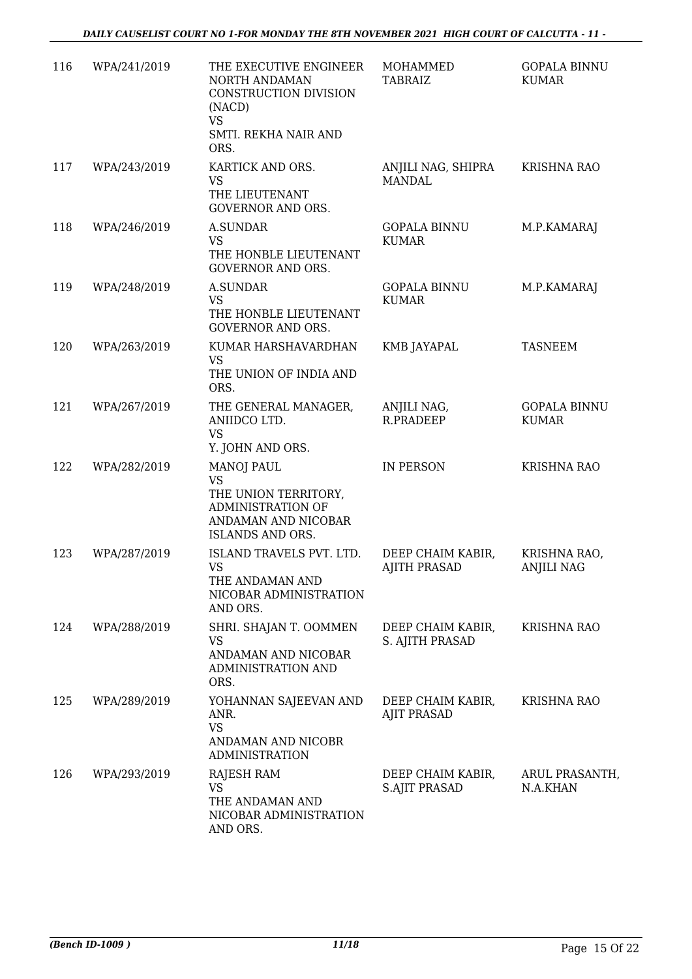| 116 | WPA/241/2019 | THE EXECUTIVE ENGINEER<br>NORTH ANDAMAN<br>CONSTRUCTION DIVISION<br>(NACD)<br>VS<br>SMTI. REKHA NAIR AND<br>ORS.              | MOHAMMED<br><b>TABRAIZ</b>                | <b>GOPALA BINNU</b><br><b>KUMAR</b> |
|-----|--------------|-------------------------------------------------------------------------------------------------------------------------------|-------------------------------------------|-------------------------------------|
| 117 | WPA/243/2019 | KARTICK AND ORS.<br><b>VS</b><br>THE LIEUTENANT<br><b>GOVERNOR AND ORS.</b>                                                   | ANJILI NAG, SHIPRA<br><b>MANDAL</b>       | <b>KRISHNA RAO</b>                  |
| 118 | WPA/246/2019 | <b>A.SUNDAR</b><br><b>VS</b><br>THE HONBLE LIEUTENANT<br><b>GOVERNOR AND ORS.</b>                                             | <b>GOPALA BINNU</b><br><b>KUMAR</b>       | M.P.KAMARAJ                         |
| 119 | WPA/248/2019 | A.SUNDAR<br><b>VS</b><br>THE HONBLE LIEUTENANT<br><b>GOVERNOR AND ORS.</b>                                                    | <b>GOPALA BINNU</b><br><b>KUMAR</b>       | M.P.KAMARAJ                         |
| 120 | WPA/263/2019 | KUMAR HARSHAVARDHAN<br><b>VS</b><br>THE UNION OF INDIA AND<br>ORS.                                                            | KMB JAYAPAL                               | <b>TASNEEM</b>                      |
| 121 | WPA/267/2019 | THE GENERAL MANAGER,<br>ANIIDCO LTD.<br><b>VS</b><br>Y. JOHN AND ORS.                                                         | ANJILI NAG,<br>R.PRADEEP                  | <b>GOPALA BINNU</b><br><b>KUMAR</b> |
| 122 | WPA/282/2019 | <b>MANOJ PAUL</b><br><b>VS</b><br>THE UNION TERRITORY,<br><b>ADMINISTRATION OF</b><br>ANDAMAN AND NICOBAR<br>ISLANDS AND ORS. | IN PERSON                                 | <b>KRISHNA RAO</b>                  |
| 123 | WPA/287/2019 | ISLAND TRAVELS PVT. LTD.<br>VS<br>THE ANDAMAN AND<br>NICOBAR ADMINISTRATION<br>AND ORS.                                       | DEEP CHAIM KABIR,<br><b>AJITH PRASAD</b>  | KRISHNA RAO,<br><b>ANJILI NAG</b>   |
| 124 | WPA/288/2019 | SHRI. SHAJAN T. OOMMEN<br><b>VS</b><br>ANDAMAN AND NICOBAR<br>ADMINISTRATION AND<br>ORS.                                      | DEEP CHAIM KABIR,<br>S. AJITH PRASAD      | KRISHNA RAO                         |
| 125 | WPA/289/2019 | YOHANNAN SAJEEVAN AND<br>ANR.<br><b>VS</b><br>ANDAMAN AND NICOBR<br><b>ADMINISTRATION</b>                                     | DEEP CHAIM KABIR,<br><b>AJIT PRASAD</b>   | <b>KRISHNA RAO</b>                  |
| 126 | WPA/293/2019 | RAJESH RAM<br><b>VS</b><br>THE ANDAMAN AND<br>NICOBAR ADMINISTRATION<br>AND ORS.                                              | DEEP CHAIM KABIR,<br><b>S.AJIT PRASAD</b> | ARUL PRASANTH,<br>N.A.KHAN          |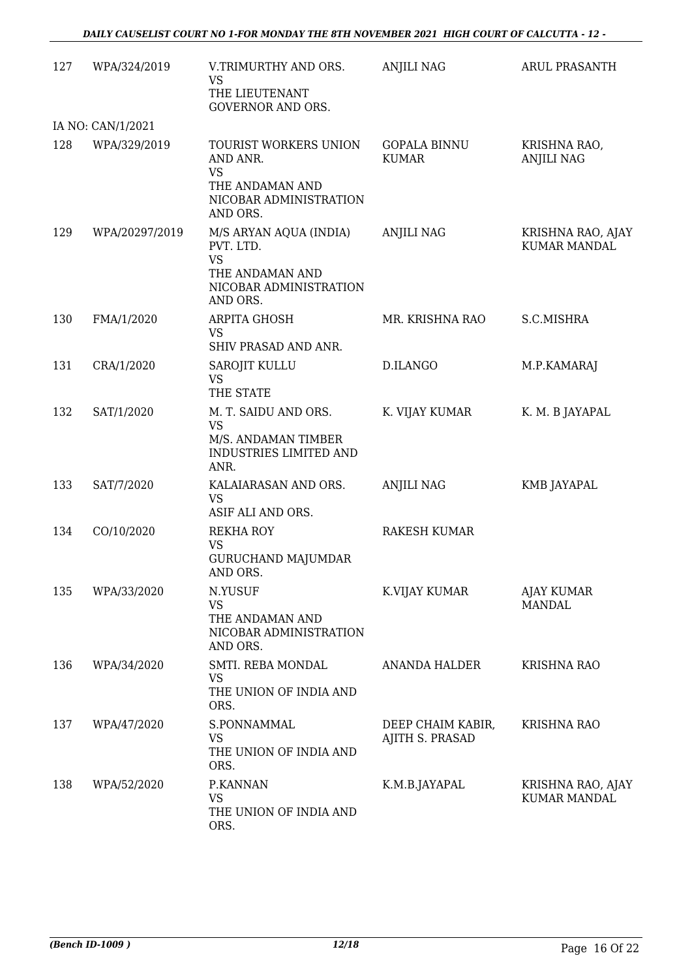| 127 | WPA/324/2019      | V.TRIMURTHY AND ORS.<br>VS<br>THE LIEUTENANT<br><b>GOVERNOR AND ORS.</b>                                  | <b>ANJILI NAG</b>                    | <b>ARUL PRASANTH</b>                     |
|-----|-------------------|-----------------------------------------------------------------------------------------------------------|--------------------------------------|------------------------------------------|
|     | IA NO: CAN/1/2021 |                                                                                                           |                                      |                                          |
| 128 | WPA/329/2019      | TOURIST WORKERS UNION<br>AND ANR.<br><b>VS</b><br>THE ANDAMAN AND<br>NICOBAR ADMINISTRATION<br>AND ORS.   | <b>GOPALA BINNU</b><br><b>KUMAR</b>  | KRISHNA RAO,<br><b>ANJILI NAG</b>        |
| 129 | WPA/20297/2019    | M/S ARYAN AQUA (INDIA)<br>PVT. LTD.<br><b>VS</b><br>THE ANDAMAN AND<br>NICOBAR ADMINISTRATION<br>AND ORS. | <b>ANJILI NAG</b>                    | KRISHNA RAO, AJAY<br><b>KUMAR MANDAL</b> |
| 130 | FMA/1/2020        | ARPITA GHOSH<br>VS<br>SHIV PRASAD AND ANR.                                                                | MR. KRISHNA RAO                      | S.C.MISHRA                               |
| 131 | CRA/1/2020        | <b>SAROJIT KULLU</b><br><b>VS</b><br>THE STATE                                                            | D.ILANGO                             | M.P.KAMARAJ                              |
| 132 | SAT/1/2020        | M. T. SAIDU AND ORS.<br><b>VS</b><br>M/S. ANDAMAN TIMBER<br>INDUSTRIES LIMITED AND<br>ANR.                | K. VIJAY KUMAR                       | K. M. B JAYAPAL                          |
| 133 | SAT/7/2020        | KALAIARASAN AND ORS.<br><b>VS</b><br>ASIF ALI AND ORS.                                                    | <b>ANJILI NAG</b>                    | KMB JAYAPAL                              |
| 134 | CO/10/2020        | <b>REKHA ROY</b><br><b>VS</b><br><b>GURUCHAND MAJUMDAR</b><br>AND ORS.                                    | <b>RAKESH KUMAR</b>                  |                                          |
| 135 | WPA/33/2020       | N.YUSUF<br><b>VS</b><br>THE ANDAMAN AND<br>NICOBAR ADMINISTRATION<br>AND ORS.                             | K.VIJAY KUMAR                        | <b>AJAY KUMAR</b><br>MANDAL              |
| 136 | WPA/34/2020       | SMTI. REBA MONDAL<br><b>VS</b><br>THE UNION OF INDIA AND<br>ORS.                                          | ANANDA HALDER                        | <b>KRISHNA RAO</b>                       |
| 137 | WPA/47/2020       | S.PONNAMMAL<br>VS<br>THE UNION OF INDIA AND<br>ORS.                                                       | DEEP CHAIM KABIR,<br>AJITH S. PRASAD | KRISHNA RAO                              |
| 138 | WPA/52/2020       | P.KANNAN<br><b>VS</b><br>THE UNION OF INDIA AND<br>ORS.                                                   | K.M.B.JAYAPAL                        | KRISHNA RAO, AJAY<br>KUMAR MANDAL        |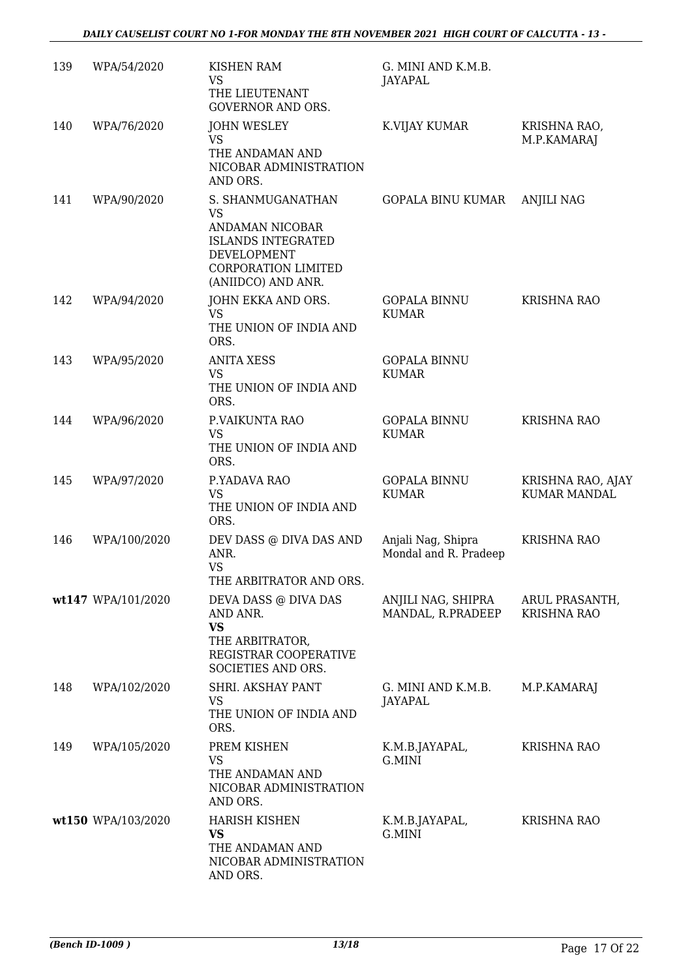| 139 | WPA/54/2020        | <b>KISHEN RAM</b><br><b>VS</b><br>THE LIEUTENANT<br><b>GOVERNOR AND ORS.</b>                                                                      | G. MINI AND K.M.B.<br>JAYAPAL               |                                      |
|-----|--------------------|---------------------------------------------------------------------------------------------------------------------------------------------------|---------------------------------------------|--------------------------------------|
| 140 | WPA/76/2020        | <b>JOHN WESLEY</b><br><b>VS</b><br>THE ANDAMAN AND<br>NICOBAR ADMINISTRATION<br>AND ORS.                                                          | K.VIJAY KUMAR                               | KRISHNA RAO,<br>M.P.KAMARAJ          |
| 141 | WPA/90/2020        | S. SHANMUGANATHAN<br><b>VS</b><br>ANDAMAN NICOBAR<br><b>ISLANDS INTEGRATED</b><br>DEVELOPMENT<br><b>CORPORATION LIMITED</b><br>(ANIIDCO) AND ANR. | <b>GOPALA BINU KUMAR</b>                    | <b>ANJILI NAG</b>                    |
| 142 | WPA/94/2020        | JOHN EKKA AND ORS.<br><b>VS</b><br>THE UNION OF INDIA AND<br>ORS.                                                                                 | <b>GOPALA BINNU</b><br><b>KUMAR</b>         | <b>KRISHNA RAO</b>                   |
| 143 | WPA/95/2020        | <b>ANITA XESS</b><br><b>VS</b><br>THE UNION OF INDIA AND<br>ORS.                                                                                  | <b>GOPALA BINNU</b><br><b>KUMAR</b>         |                                      |
| 144 | WPA/96/2020        | P.VAIKUNTA RAO<br><b>VS</b><br>THE UNION OF INDIA AND<br>ORS.                                                                                     | <b>GOPALA BINNU</b><br><b>KUMAR</b>         | <b>KRISHNA RAO</b>                   |
| 145 | WPA/97/2020        | P.YADAVA RAO<br><b>VS</b><br>THE UNION OF INDIA AND<br>ORS.                                                                                       | <b>GOPALA BINNU</b><br><b>KUMAR</b>         | KRISHNA RAO, AJAY<br>KUMAR MANDAL    |
| 146 | WPA/100/2020       | DEV DASS @ DIVA DAS AND<br>ANR.<br><b>VS</b><br>THE ARBITRATOR AND ORS.                                                                           | Anjali Nag, Shipra<br>Mondal and R. Pradeep | <b>KRISHNA RAO</b>                   |
|     | wt147 WPA/101/2020 | DEVA DASS @ DIVA DAS<br>AND ANR.<br><b>VS</b><br>THE ARBITRATOR,<br>REGISTRAR COOPERATIVE<br>SOCIETIES AND ORS.                                   | ANJILI NAG, SHIPRA<br>MANDAL, R.PRADEEP     | ARUL PRASANTH,<br><b>KRISHNA RAO</b> |
| 148 | WPA/102/2020       | SHRI. AKSHAY PANT<br>VS<br>THE UNION OF INDIA AND<br>ORS.                                                                                         | G. MINI AND K.M.B.<br><b>JAYAPAL</b>        | M.P.KAMARAJ                          |
| 149 | WPA/105/2020       | PREM KISHEN<br>VS<br>THE ANDAMAN AND<br>NICOBAR ADMINISTRATION<br>AND ORS.                                                                        | K.M.B.JAYAPAL,<br>G.MINI                    | <b>KRISHNA RAO</b>                   |
|     | wt150 WPA/103/2020 | <b>HARISH KISHEN</b><br><b>VS</b><br>THE ANDAMAN AND<br>NICOBAR ADMINISTRATION<br>AND ORS.                                                        | K.M.B.JAYAPAL,<br>G.MINI                    | <b>KRISHNA RAO</b>                   |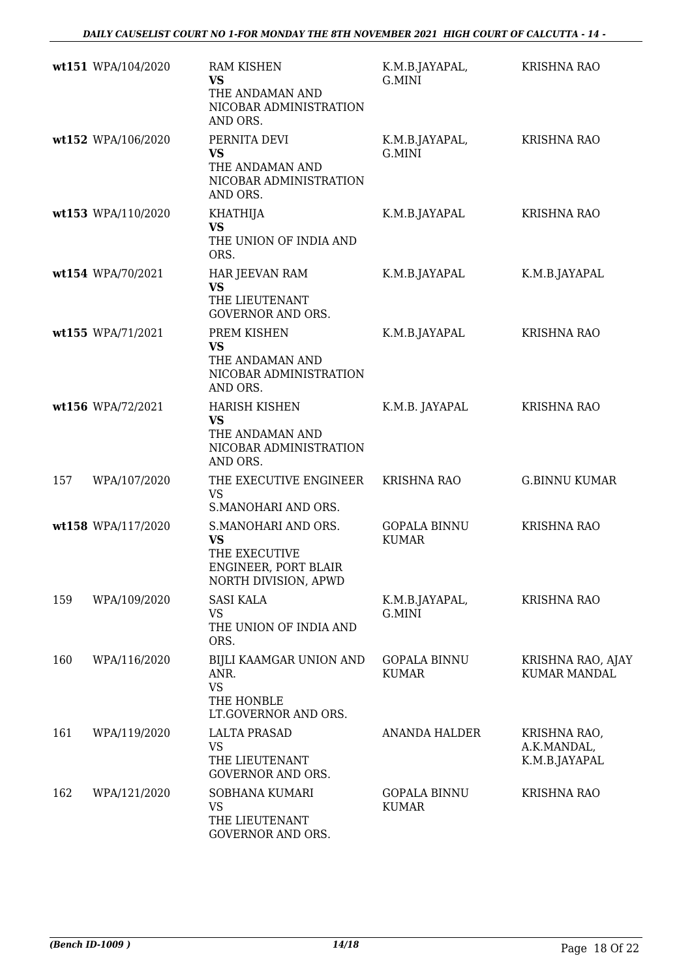|     | wt151 WPA/104/2020 | <b>RAM KISHEN</b><br>VS<br>THE ANDAMAN AND<br>NICOBAR ADMINISTRATION<br>AND ORS.                  | K.M.B.JAYAPAL,<br>G.MINI            | <b>KRISHNA RAO</b>                           |
|-----|--------------------|---------------------------------------------------------------------------------------------------|-------------------------------------|----------------------------------------------|
|     | wt152 WPA/106/2020 | PERNITA DEVI<br><b>VS</b><br>THE ANDAMAN AND<br>NICOBAR ADMINISTRATION<br>AND ORS.                | K.M.B.JAYAPAL,<br>G.MINI            | <b>KRISHNA RAO</b>                           |
|     | wt153 WPA/110/2020 | KHATHIJA<br><b>VS</b><br>THE UNION OF INDIA AND<br>ORS.                                           | K.M.B.JAYAPAL                       | <b>KRISHNA RAO</b>                           |
|     | wt154 WPA/70/2021  | HAR JEEVAN RAM<br><b>VS</b><br>THE LIEUTENANT<br><b>GOVERNOR AND ORS.</b>                         | K.M.B.JAYAPAL                       | K.M.B.JAYAPAL                                |
|     | wt155 WPA/71/2021  | PREM KISHEN<br>VS<br>THE ANDAMAN AND<br>NICOBAR ADMINISTRATION<br>AND ORS.                        | K.M.B.JAYAPAL                       | <b>KRISHNA RAO</b>                           |
|     | wt156 WPA/72/2021  | <b>HARISH KISHEN</b><br><b>VS</b><br>THE ANDAMAN AND<br>NICOBAR ADMINISTRATION<br>AND ORS.        | K.M.B. JAYAPAL                      | <b>KRISHNA RAO</b>                           |
| 157 | WPA/107/2020       | THE EXECUTIVE ENGINEER<br>VS<br>S.MANOHARI AND ORS.                                               | <b>KRISHNA RAO</b>                  | <b>G.BINNU KUMAR</b>                         |
|     | wt158 WPA/117/2020 | S.MANOHARI AND ORS.<br><b>VS</b><br>THE EXECUTIVE<br>ENGINEER, PORT BLAIR<br>NORTH DIVISION, APWD | GOPALA BINNU<br><b>KUMAR</b>        | <b>KRISHNA RAO</b>                           |
| 159 | WPA/109/2020       | <b>SASI KALA</b><br>VS<br>THE UNION OF INDIA AND<br>ORS.                                          | K.M.B.JAYAPAL,<br>G.MINI            | KRISHNA RAO                                  |
| 160 | WPA/116/2020       | BIJLI KAAMGAR UNION AND<br>ANR.<br><b>VS</b><br>THE HONBLE<br>LT.GOVERNOR AND ORS.                | <b>GOPALA BINNU</b><br><b>KUMAR</b> | KRISHNA RAO, AJAY<br><b>KUMAR MANDAL</b>     |
| 161 | WPA/119/2020       | <b>LALTA PRASAD</b><br><b>VS</b><br>THE LIEUTENANT<br><b>GOVERNOR AND ORS.</b>                    | <b>ANANDA HALDER</b>                | KRISHNA RAO,<br>A.K.MANDAL,<br>K.M.B.JAYAPAL |
| 162 | WPA/121/2020       | SOBHANA KUMARI<br><b>VS</b><br>THE LIEUTENANT<br>GOVERNOR AND ORS.                                | GOPALA BINNU<br><b>KUMAR</b>        | <b>KRISHNA RAO</b>                           |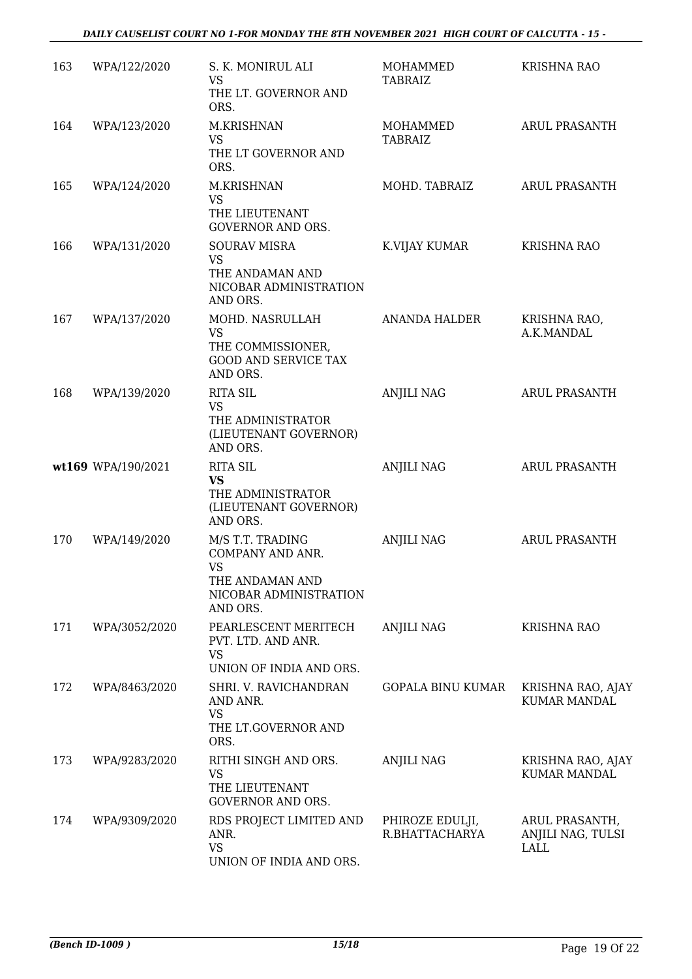| 163 | WPA/122/2020       | S. K. MONIRUL ALI<br><b>VS</b><br>THE LT. GOVERNOR AND<br>ORS.                                             | MOHAMMED<br>TABRAIZ               | <b>KRISHNA RAO</b>                          |
|-----|--------------------|------------------------------------------------------------------------------------------------------------|-----------------------------------|---------------------------------------------|
| 164 | WPA/123/2020       | M.KRISHNAN<br><b>VS</b><br>THE LT GOVERNOR AND<br>ORS.                                                     | MOHAMMED<br><b>TABRAIZ</b>        | <b>ARUL PRASANTH</b>                        |
| 165 | WPA/124/2020       | M.KRISHNAN<br><b>VS</b><br>THE LIEUTENANT<br><b>GOVERNOR AND ORS.</b>                                      | MOHD. TABRAIZ                     | <b>ARUL PRASANTH</b>                        |
| 166 | WPA/131/2020       | <b>SOURAV MISRA</b><br><b>VS</b><br>THE ANDAMAN AND<br>NICOBAR ADMINISTRATION<br>AND ORS.                  | K.VIJAY KUMAR                     | <b>KRISHNA RAO</b>                          |
| 167 | WPA/137/2020       | MOHD. NASRULLAH<br><b>VS</b><br>THE COMMISSIONER,<br><b>GOOD AND SERVICE TAX</b><br>AND ORS.               | <b>ANANDA HALDER</b>              | KRISHNA RAO,<br>A.K.MANDAL                  |
| 168 | WPA/139/2020       | <b>RITA SIL</b><br><b>VS</b><br>THE ADMINISTRATOR<br>(LIEUTENANT GOVERNOR)<br>AND ORS.                     | <b>ANJILI NAG</b>                 | <b>ARUL PRASANTH</b>                        |
|     | wt169 WPA/190/2021 | <b>RITA SIL</b><br><b>VS</b><br>THE ADMINISTRATOR<br>(LIEUTENANT GOVERNOR)<br>AND ORS.                     | <b>ANJILI NAG</b>                 | <b>ARUL PRASANTH</b>                        |
| 170 | WPA/149/2020       | M/S T.T. TRADING<br>COMPANY AND ANR.<br><b>VS</b><br>THE ANDAMAN AND<br>NICOBAR ADMINISTRATION<br>AND ORS. | <b>ANJILI NAG</b>                 | <b>ARUL PRASANTH</b>                        |
| 171 | WPA/3052/2020      | PEARLESCENT MERITECH<br>PVT. LTD. AND ANR.<br><b>VS</b><br>UNION OF INDIA AND ORS.                         | ANJILI NAG                        | <b>KRISHNA RAO</b>                          |
| 172 | WPA/8463/2020      | SHRI. V. RAVICHANDRAN<br>AND ANR.<br><b>VS</b><br>THE LT.GOVERNOR AND<br>ORS.                              | GOPALA BINU KUMAR                 | KRISHNA RAO, AJAY<br><b>KUMAR MANDAL</b>    |
| 173 | WPA/9283/2020      | RITHI SINGH AND ORS.<br><b>VS</b><br>THE LIEUTENANT<br><b>GOVERNOR AND ORS.</b>                            | <b>ANJILI NAG</b>                 | KRISHNA RAO, AJAY<br><b>KUMAR MANDAL</b>    |
| 174 | WPA/9309/2020      | RDS PROJECT LIMITED AND<br>ANR.<br><b>VS</b><br>UNION OF INDIA AND ORS.                                    | PHIROZE EDULJI,<br>R.BHATTACHARYA | ARUL PRASANTH,<br>ANJILI NAG, TULSI<br>LALL |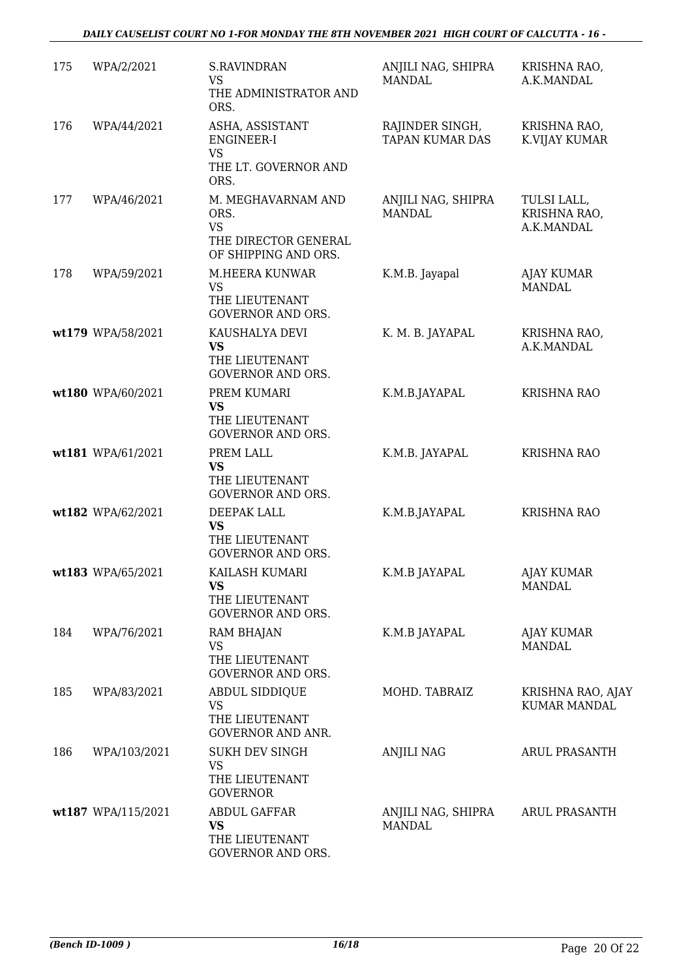| 175 | WPA/2/2021         | <b>S.RAVINDRAN</b><br><b>VS</b><br>THE ADMINISTRATOR AND<br>ORS.                        | ANJILI NAG, SHIPRA<br><b>MANDAL</b>       | KRISHNA RAO,<br>A.K.MANDAL                |
|-----|--------------------|-----------------------------------------------------------------------------------------|-------------------------------------------|-------------------------------------------|
| 176 | WPA/44/2021        | ASHA, ASSISTANT<br><b>ENGINEER-I</b><br>VS<br>THE LT. GOVERNOR AND<br>ORS.              | RAJINDER SINGH,<br><b>TAPAN KUMAR DAS</b> | KRISHNA RAO,<br>K.VIJAY KUMAR             |
| 177 | WPA/46/2021        | M. MEGHAVARNAM AND<br>ORS.<br><b>VS</b><br>THE DIRECTOR GENERAL<br>OF SHIPPING AND ORS. | ANJILI NAG, SHIPRA<br><b>MANDAL</b>       | TULSI LALL,<br>KRISHNA RAO,<br>A.K.MANDAL |
| 178 | WPA/59/2021        | M.HEERA KUNWAR<br>VS<br>THE LIEUTENANT<br><b>GOVERNOR AND ORS.</b>                      | K.M.B. Jayapal                            | <b>AJAY KUMAR</b><br><b>MANDAL</b>        |
|     | wt179 WPA/58/2021  | KAUSHALYA DEVI<br><b>VS</b><br>THE LIEUTENANT<br><b>GOVERNOR AND ORS.</b>               | K. M. B. JAYAPAL                          | KRISHNA RAO,<br>A.K.MANDAL                |
|     | wt180 WPA/60/2021  | PREM KUMARI<br><b>VS</b><br>THE LIEUTENANT<br><b>GOVERNOR AND ORS.</b>                  | K.M.B.JAYAPAL                             | <b>KRISHNA RAO</b>                        |
|     | wt181 WPA/61/2021  | PREM LALL<br><b>VS</b><br>THE LIEUTENANT<br><b>GOVERNOR AND ORS.</b>                    | K.M.B. JAYAPAL                            | <b>KRISHNA RAO</b>                        |
|     | wt182 WPA/62/2021  | DEEPAK LALL<br><b>VS</b><br>THE LIEUTENANT<br><b>GOVERNOR AND ORS.</b>                  | K.M.B.JAYAPAL                             | <b>KRISHNA RAO</b>                        |
|     | wt183 WPA/65/2021  | KAILASH KUMARI<br><b>VS</b><br>THE LIEUTENANT<br><b>GOVERNOR AND ORS.</b>               | K.M.B JAYAPAL                             | AJAY KUMAR<br><b>MANDAL</b>               |
| 184 | WPA/76/2021        | <b>RAM BHAJAN</b><br><b>VS</b><br>THE LIEUTENANT<br><b>GOVERNOR AND ORS.</b>            | K.M.B JAYAPAL                             | AJAY KUMAR<br><b>MANDAL</b>               |
| 185 | WPA/83/2021        | ABDUL SIDDIQUE<br>VS<br>THE LIEUTENANT<br><b>GOVERNOR AND ANR.</b>                      | MOHD. TABRAIZ                             | KRISHNA RAO, AJAY<br><b>KUMAR MANDAL</b>  |
| 186 | WPA/103/2021       | <b>SUKH DEV SINGH</b><br><b>VS</b><br>THE LIEUTENANT<br><b>GOVERNOR</b>                 | ANJILI NAG                                | ARUL PRASANTH                             |
|     | wt187 WPA/115/2021 | <b>ABDUL GAFFAR</b><br><b>VS</b><br>THE LIEUTENANT<br>GOVERNOR AND ORS.                 | ANJILI NAG, SHIPRA<br><b>MANDAL</b>       | ARUL PRASANTH                             |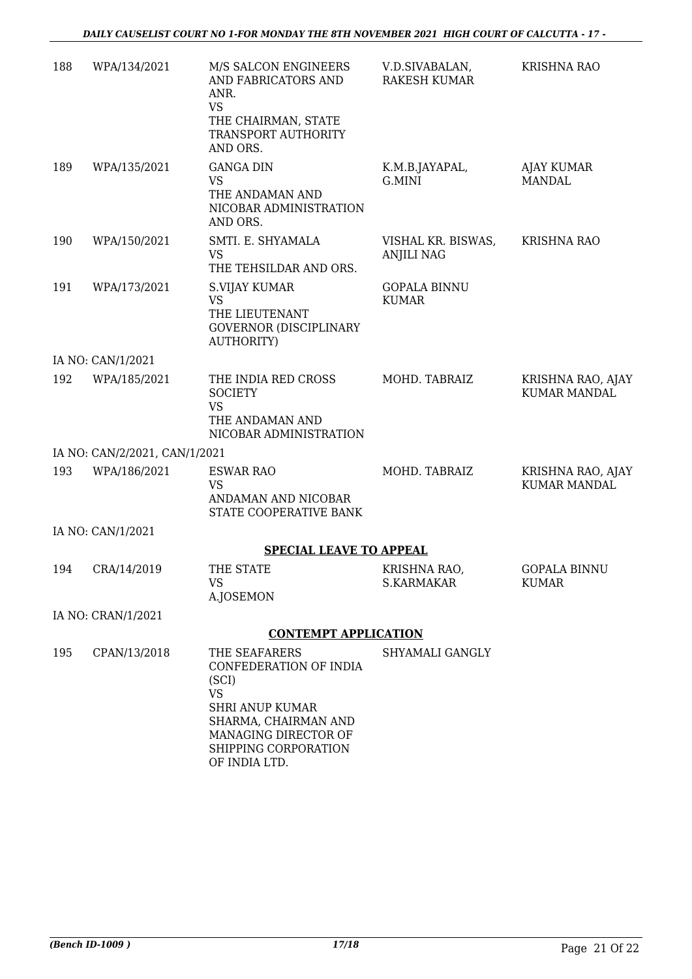| 188 | WPA/134/2021                  | M/S SALCON ENGINEERS<br>AND FABRICATORS AND<br>ANR.<br><b>VS</b>                                                                                                                 | V.D.SIVABALAN,<br>RAKESH KUMAR          | <b>KRISHNA RAO</b>                       |
|-----|-------------------------------|----------------------------------------------------------------------------------------------------------------------------------------------------------------------------------|-----------------------------------------|------------------------------------------|
|     |                               | THE CHAIRMAN, STATE<br>TRANSPORT AUTHORITY<br>AND ORS.                                                                                                                           |                                         |                                          |
| 189 | WPA/135/2021                  | <b>GANGA DIN</b><br>VS<br>THE ANDAMAN AND<br>NICOBAR ADMINISTRATION<br>AND ORS.                                                                                                  | K.M.B.JAYAPAL,<br>G.MINI                | AJAY KUMAR<br>MANDAL                     |
| 190 | WPA/150/2021                  | SMTI. E. SHYAMALA<br><b>VS</b><br>THE TEHSILDAR AND ORS.                                                                                                                         | VISHAL KR. BISWAS,<br><b>ANJILI NAG</b> | <b>KRISHNA RAO</b>                       |
| 191 | WPA/173/2021                  | S.VIJAY KUMAR<br><b>VS</b><br>THE LIEUTENANT<br><b>GOVERNOR (DISCIPLINARY</b><br><b>AUTHORITY)</b>                                                                               | <b>GOPALA BINNU</b><br><b>KUMAR</b>     |                                          |
|     | IA NO: CAN/1/2021             |                                                                                                                                                                                  |                                         |                                          |
| 192 | WPA/185/2021                  | THE INDIA RED CROSS<br><b>SOCIETY</b><br><b>VS</b><br>THE ANDAMAN AND<br>NICOBAR ADMINISTRATION                                                                                  | MOHD. TABRAIZ                           | KRISHNA RAO, AJAY<br><b>KUMAR MANDAL</b> |
|     | IA NO: CAN/2/2021, CAN/1/2021 |                                                                                                                                                                                  |                                         |                                          |
| 193 | WPA/186/2021                  | <b>ESWAR RAO</b><br><b>VS</b><br>ANDAMAN AND NICOBAR<br>STATE COOPERATIVE BANK                                                                                                   | MOHD. TABRAIZ                           | KRISHNA RAO, AJAY<br><b>KUMAR MANDAL</b> |
|     | IA NO: CAN/1/2021             |                                                                                                                                                                                  |                                         |                                          |
|     |                               | <b>SPECIAL LEAVE TO APPEAL</b>                                                                                                                                                   |                                         |                                          |
| 194 | CRA/14/2019                   | THE STATE<br><b>VS</b><br>A.JOSEMON                                                                                                                                              | KRISHNA RAO,<br><b>S.KARMAKAR</b>       | <b>GOPALA BINNU</b><br><b>KUMAR</b>      |
|     | IA NO: CRAN/1/2021            |                                                                                                                                                                                  |                                         |                                          |
|     |                               | <b>CONTEMPT APPLICATION</b>                                                                                                                                                      |                                         |                                          |
| 195 | CPAN/13/2018                  | THE SEAFARERS<br>CONFEDERATION OF INDIA<br>(SCI)<br><b>VS</b><br><b>SHRI ANUP KUMAR</b><br>SHARMA, CHAIRMAN AND<br>MANAGING DIRECTOR OF<br>SHIPPING CORPORATION<br>OF INDIA LTD. | SHYAMALI GANGLY                         |                                          |